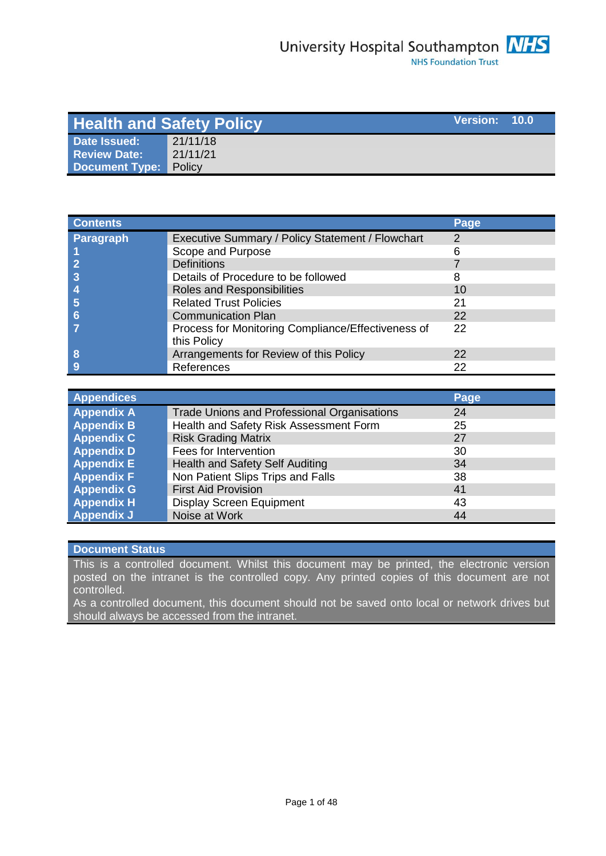| <b>Health and Safety Policy</b> |          |  | Version: 10.0 |
|---------------------------------|----------|--|---------------|
| <b>Date Issued:</b>             | 21/11/18 |  |               |
| Review Date:                    | 21/11/21 |  |               |
| <b>Document Type:</b>           | Policy   |  |               |

| <b>Contents</b>  |                                                                   | Page          |
|------------------|-------------------------------------------------------------------|---------------|
| <b>Paragraph</b> | Executive Summary / Policy Statement / Flowchart                  | $\mathcal{P}$ |
|                  | Scope and Purpose                                                 |               |
|                  | <b>Definitions</b>                                                |               |
|                  | Details of Procedure to be followed                               | 8             |
|                  | Roles and Responsibilities                                        | 10            |
|                  | <b>Related Trust Policies</b>                                     | 21            |
| 6                | <b>Communication Plan</b>                                         | 22            |
|                  | Process for Monitoring Compliance/Effectiveness of<br>this Policy | 22            |
| 8                | Arrangements for Review of this Policy                            | 22            |
|                  | References                                                        | 22            |

| <b>Appendices</b> |                                                    | Page |
|-------------------|----------------------------------------------------|------|
| <b>Appendix A</b> | <b>Trade Unions and Professional Organisations</b> | 24   |
| <b>Appendix B</b> | Health and Safety Risk Assessment Form             | 25   |
| <b>Appendix C</b> | <b>Risk Grading Matrix</b>                         | 27   |
| <b>Appendix D</b> | Fees for Intervention                              | 30   |
| <b>Appendix E</b> | Health and Safety Self Auditing                    | 34   |
| <b>Appendix F</b> | Non Patient Slips Trips and Falls                  | 38   |
| <b>Appendix G</b> | <b>First Aid Provision</b>                         | 41   |
| <b>Appendix H</b> | <b>Display Screen Equipment</b>                    | 43   |
| <b>Appendix J</b> | Noise at Work                                      | 44   |

# **Document Status**

This is a controlled document. Whilst this document may be printed, the electronic version posted on the intranet is the controlled copy. Any printed copies of this document are not controlled.

As a controlled document, this document should not be saved onto local or network drives but should always be accessed from the intranet.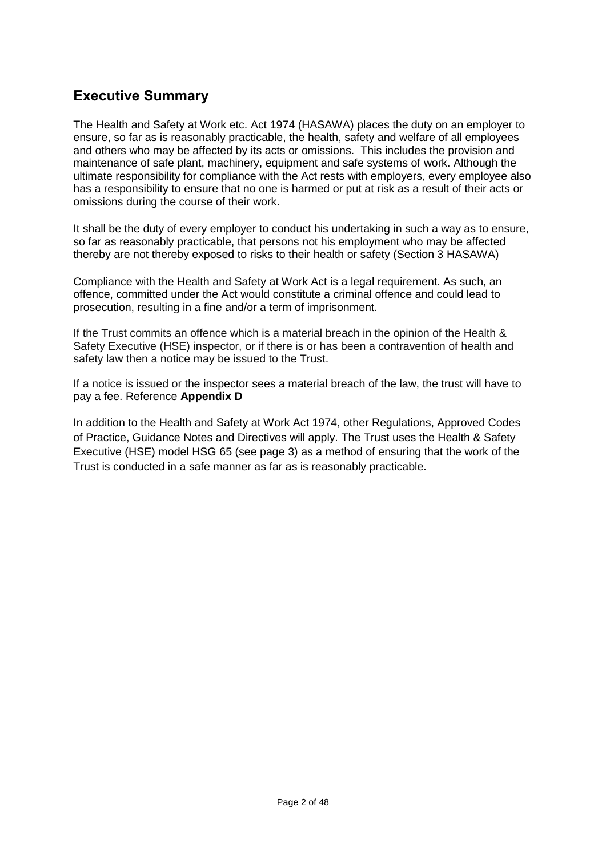# **Executive Summary**

The Health and Safety at Work etc. Act 1974 (HASAWA) places the duty on an employer to ensure, so far as is reasonably practicable, the health, safety and welfare of all employees and others who may be affected by its acts or omissions. This includes the provision and maintenance of safe plant, machinery, equipment and safe systems of work. Although the ultimate responsibility for compliance with the Act rests with employers, every employee also has a responsibility to ensure that no one is harmed or put at risk as a result of their acts or omissions during the course of their work.

It shall be the duty of every employer to conduct his undertaking in such a way as to ensure, so far as reasonably practicable, that persons not his employment who may be affected thereby are not thereby exposed to risks to their health or safety (Section 3 HASAWA)

Compliance with the Health and Safety at Work Act is a legal requirement. As such, an offence, committed under the Act would constitute a criminal offence and could lead to prosecution, resulting in a fine and/or a term of imprisonment.

If the Trust commits an offence which is a material breach in the opinion of the Health & Safety Executive (HSE) inspector, or if there is or has been a contravention of health and safety law then a notice may be issued to the Trust.

If a notice is issued or the inspector sees a material breach of the law, the trust will have to pay a fee. Reference **Appendix D**

In addition to the Health and Safety at Work Act 1974, other Regulations, Approved Codes of Practice, Guidance Notes and Directives will apply. The Trust uses the Health & Safety Executive (HSE) model HSG 65 (see page 3) as a method of ensuring that the work of the Trust is conducted in a safe manner as far as is reasonably practicable.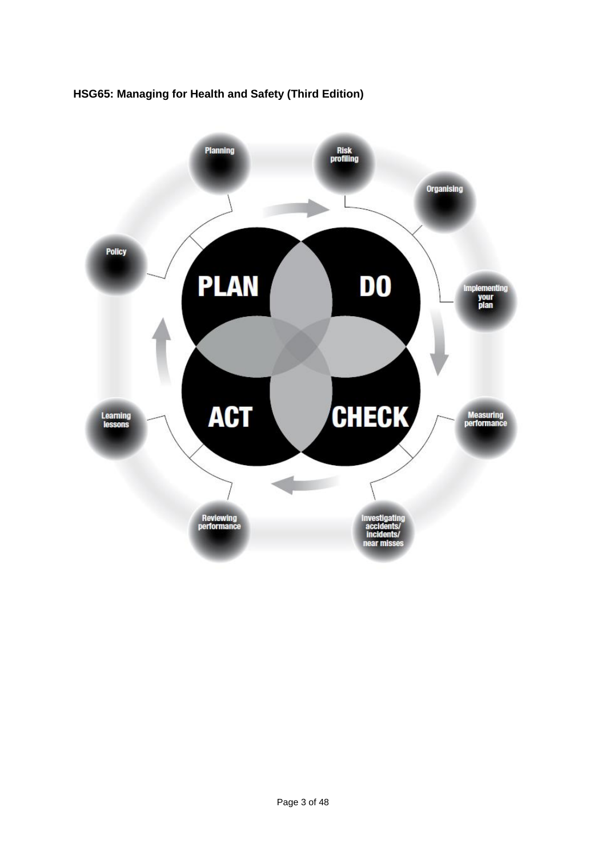

# **HSG65: Managing for Health and Safety (Third Edition)**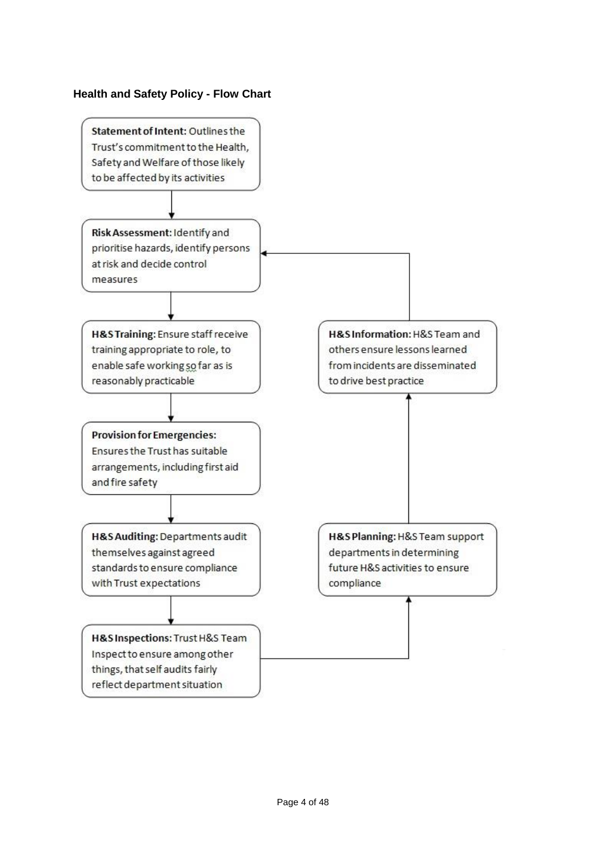# **Health and Safety Policy - Flow Chart**

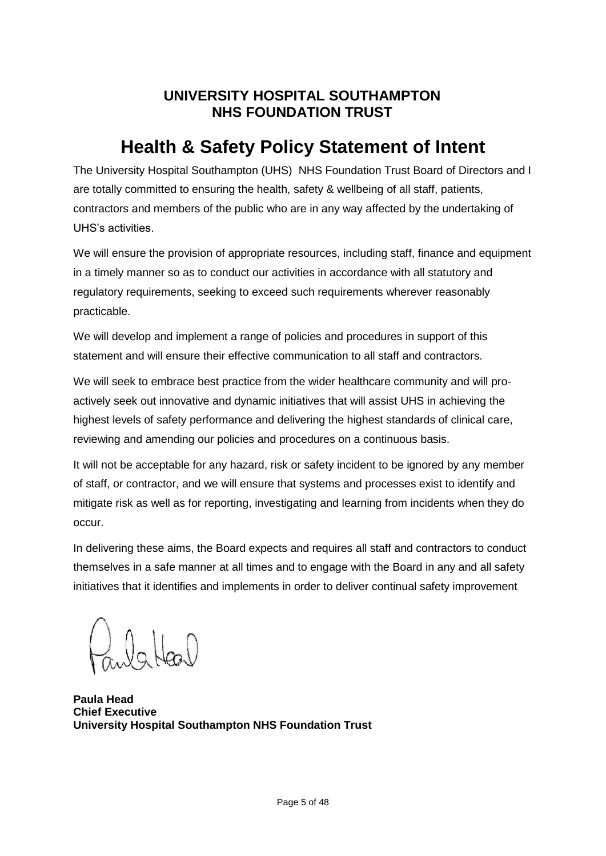# **UNIVERSITY HOSPITAL SOUTHAMPTON NHS FOUNDATION TRUST**

# **Health & Safety Policy Statement of Intent**

The University Hospital Southampton (UHS) NHS Foundation Trust Board of Directors and I are totally committed to ensuring the health, safety & wellbeing of all staff, patients, contractors and members of the public who are in any way affected by the undertaking of UHS's activities.

We will ensure the provision of appropriate resources, including staff, finance and equipment in a timely manner so as to conduct our activities in accordance with all statutory and regulatory requirements, seeking to exceed such requirements wherever reasonably practicable.

We will develop and implement a range of policies and procedures in support of this statement and will ensure their effective communication to all staff and contractors.

We will seek to embrace best practice from the wider healthcare community and will proactively seek out innovative and dynamic initiatives that will assist UHS in achieving the highest levels of safety performance and delivering the highest standards of clinical care, reviewing and amending our policies and procedures on a continuous basis.

It will not be acceptable for any hazard, risk or safety incident to be ignored by any member of staff, or contractor, and we will ensure that systems and processes exist to identify and mitigate risk as well as for reporting, investigating and learning from incidents when they do occur.

In delivering these aims, the Board expects and requires all staff and contractors to conduct themselves in a safe manner at all times and to engage with the Board in any and all safety initiatives that it identifies and implements in order to deliver continual safety improvement

laHeal

**Paula Head Chief Executive University Hospital Southampton NHS Foundation Trust**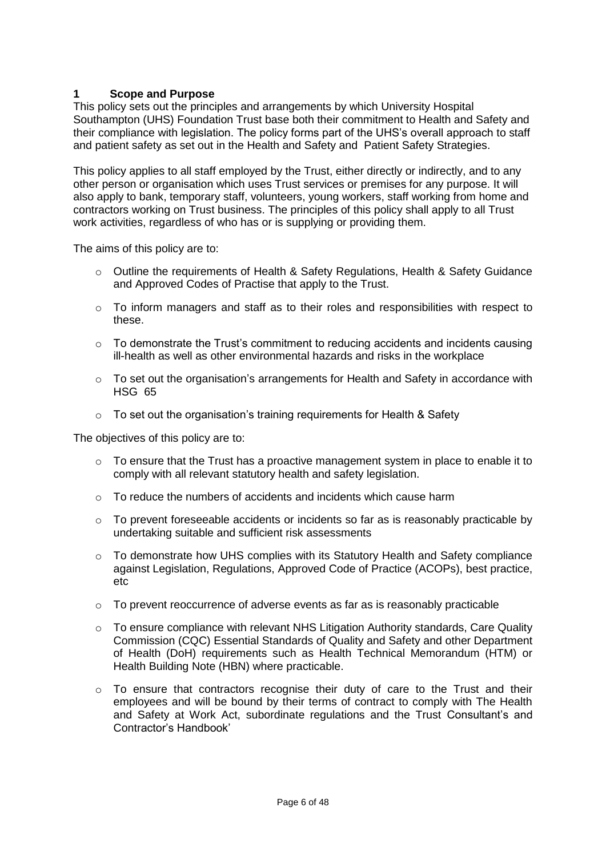# **1 Scope and Purpose**

This policy sets out the principles and arrangements by which University Hospital Southampton (UHS) Foundation Trust base both their commitment to Health and Safety and their compliance with legislation. The policy forms part of the UHS's overall approach to staff and patient safety as set out in the Health and Safety and Patient Safety Strategies.

This policy applies to all staff employed by the Trust, either directly or indirectly, and to any other person or organisation which uses Trust services or premises for any purpose. It will also apply to bank, temporary staff, volunteers, young workers, staff working from home and contractors working on Trust business. The principles of this policy shall apply to all Trust work activities, regardless of who has or is supplying or providing them.

The aims of this policy are to:

- o Outline the requirements of Health & Safety Regulations, Health & Safety Guidance and Approved Codes of Practise that apply to the Trust.
- $\circ$  To inform managers and staff as to their roles and responsibilities with respect to these.
- $\circ$  To demonstrate the Trust's commitment to reducing accidents and incidents causing ill-health as well as other environmental hazards and risks in the workplace
- $\circ$  To set out the organisation's arrangements for Health and Safety in accordance with HSG 65
- o To set out the organisation's training requirements for Health & Safety

The objectives of this policy are to:

- o To ensure that the Trust has a proactive management system in place to enable it to comply with all relevant statutory health and safety legislation.
- $\circ$  To reduce the numbers of accidents and incidents which cause harm
- $\circ$  To prevent foreseeable accidents or incidents so far as is reasonably practicable by undertaking suitable and sufficient risk assessments
- $\circ$  To demonstrate how UHS complies with its Statutory Health and Safety compliance against Legislation, Regulations, Approved Code of Practice (ACOPs), best practice, etc
- $\circ$  To prevent reoccurrence of adverse events as far as is reasonably practicable
- $\circ$  To ensure compliance with relevant NHS Litigation Authority standards, Care Quality Commission (CQC) Essential Standards of Quality and Safety and other Department of Health (DoH) requirements such as Health Technical Memorandum (HTM) or Health Building Note (HBN) where practicable.
- o To ensure that contractors recognise their duty of care to the Trust and their employees and will be bound by their terms of contract to comply with The Health and Safety at Work Act, subordinate regulations and the Trust Consultant's and Contractor's Handbook'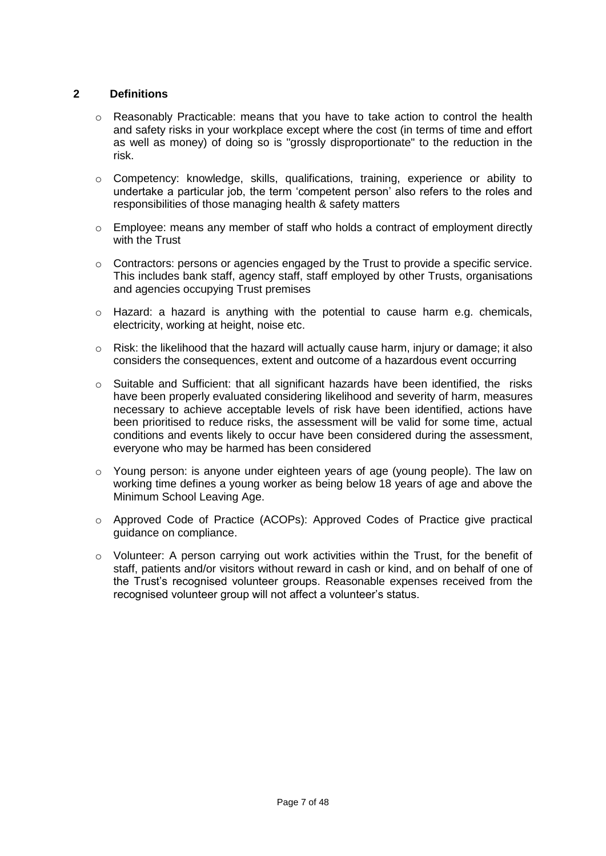# **2 Definitions**

- $\circ$  Reasonably Practicable: means that you have to take action to control the health and safety risks in your workplace except where the cost (in terms of time and effort as well as money) of doing so is "grossly disproportionate" to the reduction in the risk.
- o Competency: knowledge, skills, qualifications, training, experience or ability to undertake a particular job, the term 'competent person' also refers to the roles and responsibilities of those managing health & safety matters
- o Employee: means any member of staff who holds a contract of employment directly with the Trust
- $\circ$  Contractors: persons or agencies engaged by the Trust to provide a specific service. This includes bank staff, agency staff, staff employed by other Trusts, organisations and agencies occupying Trust premises
- o Hazard: a hazard is anything with the potential to cause harm e.g. chemicals, electricity, working at height, noise etc.
- o Risk: the likelihood that the hazard will actually cause harm, injury or damage; it also considers the consequences, extent and outcome of a hazardous event occurring
- $\circ$  Suitable and Sufficient: that all significant hazards have been identified, the risks have been properly evaluated considering likelihood and severity of harm, measures necessary to achieve acceptable levels of risk have been identified, actions have been prioritised to reduce risks, the assessment will be valid for some time, actual conditions and events likely to occur have been considered during the assessment, everyone who may be harmed has been considered
- o Young person: is anyone under eighteen years of age (young people). The law on working time defines a young worker as being below 18 years of age and above the Minimum School Leaving Age.
- o Approved Code of Practice (ACOPs): Approved Codes of Practice give practical guidance on compliance.
- $\circ$  Volunteer: A person carrying out work activities within the Trust, for the benefit of staff, patients and/or visitors without reward in cash or kind, and on behalf of one of the Trust's recognised volunteer groups. Reasonable expenses received from the recognised volunteer group will not affect a volunteer's status.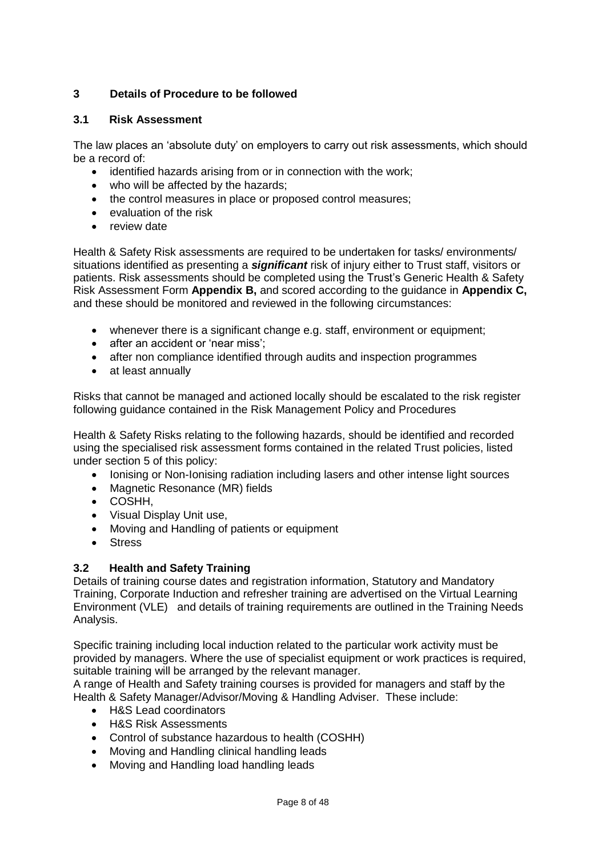# **3 Details of Procedure to be followed**

# **3.1 Risk Assessment**

The law places an 'absolute duty' on employers to carry out risk assessments, which should be a record of:

- identified hazards arising from or in connection with the work;
- who will be affected by the hazards:
- the control measures in place or proposed control measures;
- evaluation of the risk
- review date

Health & Safety Risk assessments are required to be undertaken for tasks/ environments/ situations identified as presenting a *significant* risk of injury either to Trust staff, visitors or patients. Risk assessments should be completed using the Trust's Generic Health & Safety Risk Assessment Form **Appendix B,** and scored according to the guidance in **Appendix C,** and these should be monitored and reviewed in the following circumstances:

- whenever there is a significant change e.g. staff, environment or equipment;
- after an accident or 'near miss';
- after non compliance identified through audits and inspection programmes
- at least annually

Risks that cannot be managed and actioned locally should be escalated to the risk register following guidance contained in the Risk Management Policy and Procedures

Health & Safety Risks relating to the following hazards, should be identified and recorded using the specialised risk assessment forms contained in the related Trust policies, listed under section 5 of this policy:

- Ionising or Non-Ionising radiation including lasers and other intense light sources
- Magnetic Resonance (MR) fields
- COSHH,
- Visual Display Unit use,
- Moving and Handling of patients or equipment
- **Stress**

#### **3.2 Health and Safety Training**

Details of training course dates and registration information, Statutory and Mandatory Training, Corporate Induction and refresher training are advertised on the Virtual Learning Environment (VLE) and details of training requirements are outlined in the Training Needs Analysis.

Specific training including local induction related to the particular work activity must be provided by managers. Where the use of specialist equipment or work practices is required, suitable training will be arranged by the relevant manager.

A range of Health and Safety training courses is provided for managers and staff by the Health & Safety Manager/Advisor/Moving & Handling Adviser. These include:

- H&S Lead coordinators
- H&S Risk Assessments
- Control of substance hazardous to health (COSHH)
- Moving and Handling clinical handling leads
- Moving and Handling load handling leads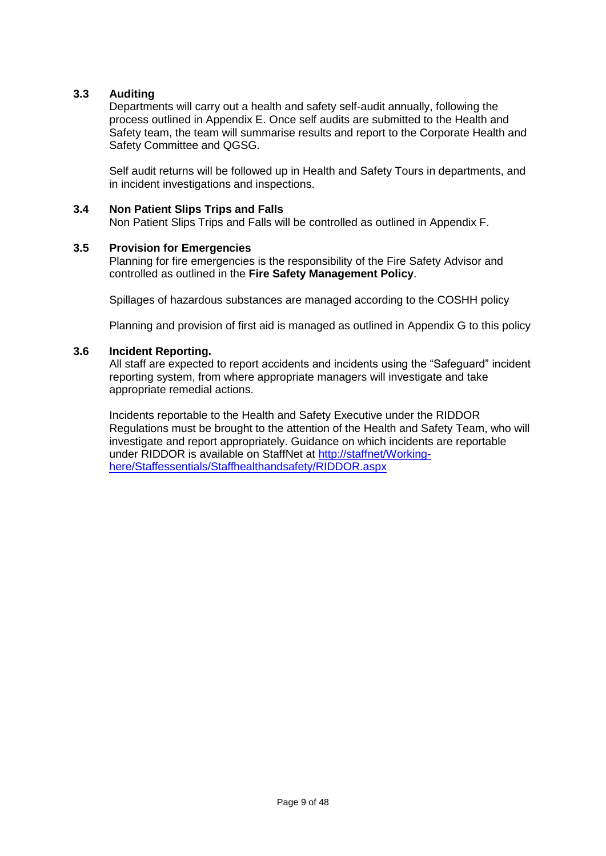# **3.3 Auditing**

Departments will carry out a health and safety self-audit annually, following the process outlined in Appendix E. Once self audits are submitted to the Health and Safety team, the team will summarise results and report to the Corporate Health and Safety Committee and QGSG.

Self audit returns will be followed up in Health and Safety Tours in departments, and in incident investigations and inspections.

#### **3.4 Non Patient Slips Trips and Falls**

Non Patient Slips Trips and Falls will be controlled as outlined in Appendix F.

#### **3.5 Provision for Emergencies**

Planning for fire emergencies is the responsibility of the Fire Safety Advisor and controlled as outlined in the **Fire Safety Management Policy**.

Spillages of hazardous substances are managed according to the COSHH policy

Planning and provision of first aid is managed as outlined in Appendix G to this policy

#### **3.6 Incident Reporting.**

All staff are expected to report accidents and incidents using the "Safeguard" incident reporting system, from where appropriate managers will investigate and take appropriate remedial actions.

Incidents reportable to the Health and Safety Executive under the RIDDOR Regulations must be brought to the attention of the Health and Safety Team, who will investigate and report appropriately. Guidance on which incidents are reportable under RIDDOR is available on StaffNet at [http://staffnet/Working](http://staffnet/Working-here/Staffessentials/Staffhealthandsafety/RIDDOR.aspx)[here/Staffessentials/Staffhealthandsafety/RIDDOR.aspx](http://staffnet/Working-here/Staffessentials/Staffhealthandsafety/RIDDOR.aspx)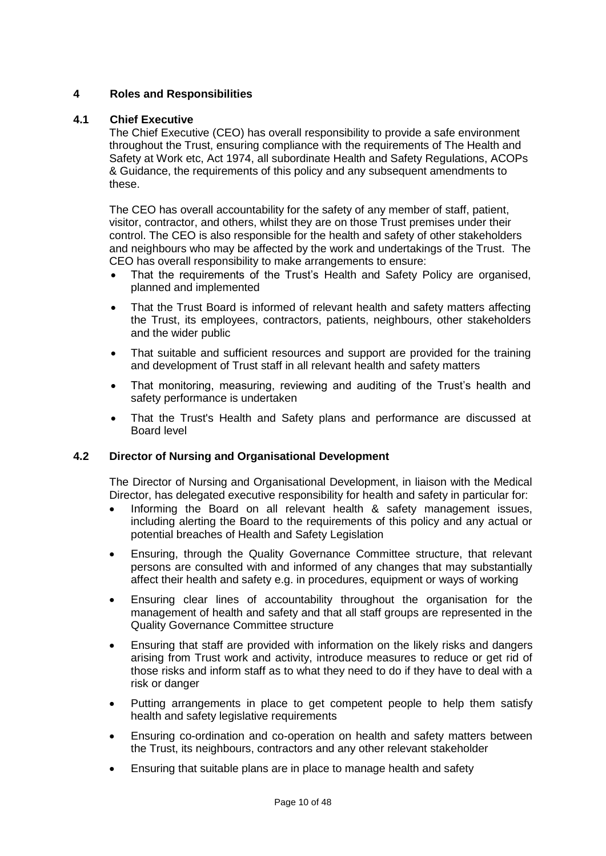# **4 Roles and Responsibilities**

#### **4.1 Chief Executive**

The Chief Executive (CEO) has overall responsibility to provide a safe environment throughout the Trust, ensuring compliance with the requirements of The Health and Safety at Work etc, Act 1974, all subordinate Health and Safety Regulations, ACOPs & Guidance, the requirements of this policy and any subsequent amendments to these.

The CEO has overall accountability for the safety of any member of staff, patient, visitor, contractor, and others, whilst they are on those Trust premises under their control. The CEO is also responsible for the health and safety of other stakeholders and neighbours who may be affected by the work and undertakings of the Trust. The CEO has overall responsibility to make arrangements to ensure:

- That the requirements of the Trust's Health and Safety Policy are organised, planned and implemented
- That the Trust Board is informed of relevant health and safety matters affecting the Trust, its employees, contractors, patients, neighbours, other stakeholders and the wider public
- That suitable and sufficient resources and support are provided for the training and development of Trust staff in all relevant health and safety matters
- That monitoring, measuring, reviewing and auditing of the Trust's health and safety performance is undertaken
- That the Trust's Health and Safety plans and performance are discussed at Board level

#### **4.2 Director of Nursing and Organisational Development**

The Director of Nursing and Organisational Development, in liaison with the Medical Director, has delegated executive responsibility for health and safety in particular for:

- Informing the Board on all relevant health & safety management issues, including alerting the Board to the requirements of this policy and any actual or potential breaches of Health and Safety Legislation
- Ensuring, through the Quality Governance Committee structure, that relevant persons are consulted with and informed of any changes that may substantially affect their health and safety e.g. in procedures, equipment or ways of working
- Ensuring clear lines of accountability throughout the organisation for the management of health and safety and that all staff groups are represented in the Quality Governance Committee structure
- Ensuring that staff are provided with information on the likely risks and dangers arising from Trust work and activity, introduce measures to reduce or get rid of those risks and inform staff as to what they need to do if they have to deal with a risk or danger
- Putting arrangements in place to get competent people to help them satisfy health and safety legislative requirements
- Ensuring co-ordination and co-operation on health and safety matters between the Trust, its neighbours, contractors and any other relevant stakeholder
- Ensuring that suitable plans are in place to manage health and safety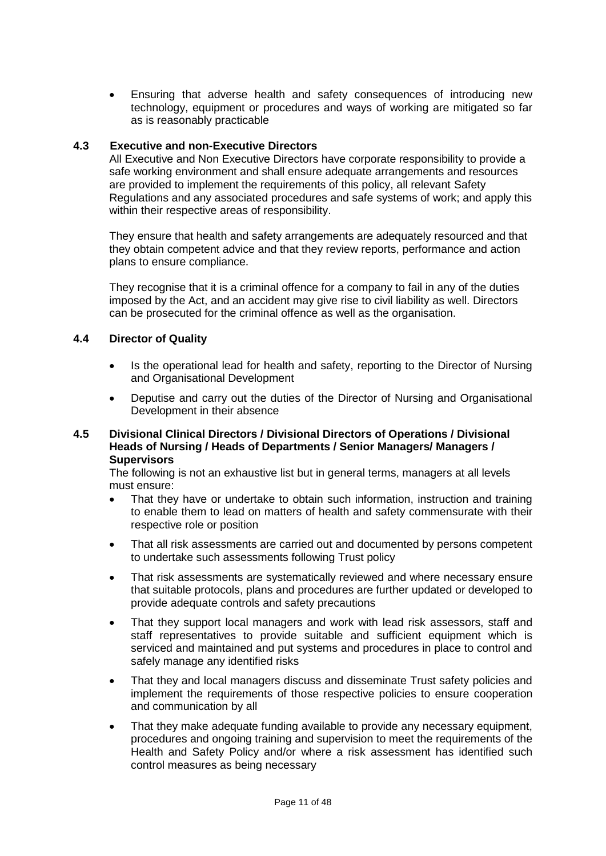Ensuring that adverse health and safety consequences of introducing new technology, equipment or procedures and ways of working are mitigated so far as is reasonably practicable

#### **4.3 Executive and non-Executive Directors**

All Executive and Non Executive Directors have corporate responsibility to provide a safe working environment and shall ensure adequate arrangements and resources are provided to implement the requirements of this policy, all relevant Safety Regulations and any associated procedures and safe systems of work; and apply this within their respective areas of responsibility.

They ensure that health and safety arrangements are adequately resourced and that they obtain competent advice and that they review reports, performance and action plans to ensure compliance.

They recognise that it is a criminal offence for a company to fail in any of the duties imposed by the Act, and an accident may give rise to civil liability as well. Directors can be prosecuted for the criminal offence as well as the organisation.

#### **4.4 Director of Quality**

- Is the operational lead for health and safety, reporting to the Director of Nursing and Organisational Development
- Deputise and carry out the duties of the Director of Nursing and Organisational Development in their absence

#### **4.5 Divisional Clinical Directors / Divisional Directors of Operations / Divisional Heads of Nursing / Heads of Departments / Senior Managers/ Managers / Supervisors**

The following is not an exhaustive list but in general terms, managers at all levels must ensure:

- That they have or undertake to obtain such information, instruction and training to enable them to lead on matters of health and safety commensurate with their respective role or position
- That all risk assessments are carried out and documented by persons competent to undertake such assessments following Trust policy
- That risk assessments are systematically reviewed and where necessary ensure that suitable protocols, plans and procedures are further updated or developed to provide adequate controls and safety precautions
- That they support local managers and work with lead risk assessors, staff and staff representatives to provide suitable and sufficient equipment which is serviced and maintained and put systems and procedures in place to control and safely manage any identified risks
- That they and local managers discuss and disseminate Trust safety policies and implement the requirements of those respective policies to ensure cooperation and communication by all
- That they make adequate funding available to provide any necessary equipment, procedures and ongoing training and supervision to meet the requirements of the Health and Safety Policy and/or where a risk assessment has identified such control measures as being necessary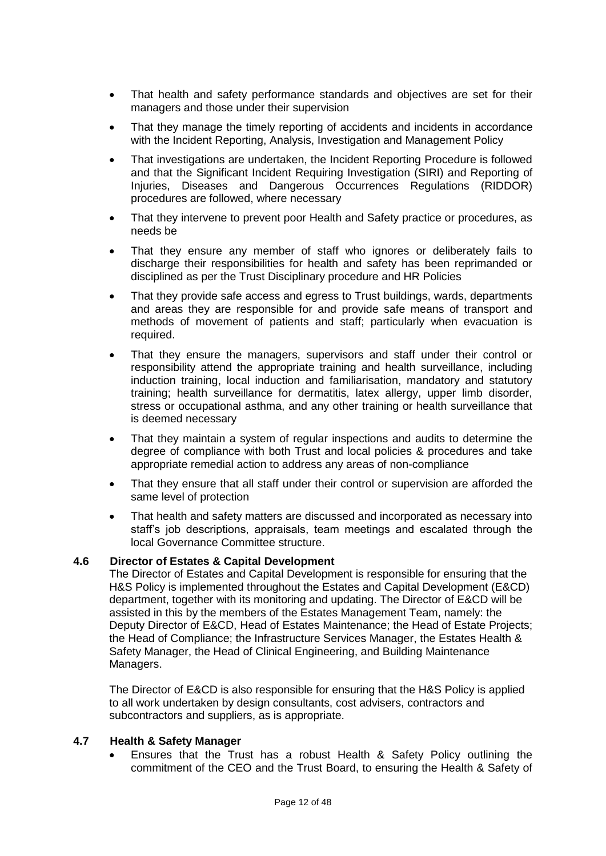- That health and safety performance standards and objectives are set for their managers and those under their supervision
- That they manage the timely reporting of accidents and incidents in accordance with the Incident Reporting, Analysis, Investigation and Management Policy
- That investigations are undertaken, the Incident Reporting Procedure is followed and that the Significant Incident Requiring Investigation (SIRI) and Reporting of Injuries, Diseases and Dangerous Occurrences Regulations (RIDDOR) procedures are followed, where necessary
- That they intervene to prevent poor Health and Safety practice or procedures, as needs be
- That they ensure any member of staff who ignores or deliberately fails to discharge their responsibilities for health and safety has been reprimanded or disciplined as per the Trust Disciplinary procedure and HR Policies
- That they provide safe access and egress to Trust buildings, wards, departments and areas they are responsible for and provide safe means of transport and methods of movement of patients and staff; particularly when evacuation is required.
- That they ensure the managers, supervisors and staff under their control or responsibility attend the appropriate training and health surveillance, including induction training, local induction and familiarisation, mandatory and statutory training; health surveillance for dermatitis, latex allergy, upper limb disorder, stress or occupational asthma, and any other training or health surveillance that is deemed necessary
- That they maintain a system of regular inspections and audits to determine the degree of compliance with both Trust and local policies & procedures and take appropriate remedial action to address any areas of non-compliance
- That they ensure that all staff under their control or supervision are afforded the same level of protection
- That health and safety matters are discussed and incorporated as necessary into staff's job descriptions, appraisals, team meetings and escalated through the local Governance Committee structure.

#### **4.6 Director of Estates & Capital Development**

The Director of Estates and Capital Development is responsible for ensuring that the H&S Policy is implemented throughout the Estates and Capital Development (E&CD) department, together with its monitoring and updating. The Director of E&CD will be assisted in this by the members of the Estates Management Team, namely: the Deputy Director of E&CD, Head of Estates Maintenance; the Head of Estate Projects; the Head of Compliance; the Infrastructure Services Manager, the Estates Health & Safety Manager, the Head of Clinical Engineering, and Building Maintenance Managers.

The Director of E&CD is also responsible for ensuring that the H&S Policy is applied to all work undertaken by design consultants, cost advisers, contractors and subcontractors and suppliers, as is appropriate.

#### **4.7 Health & Safety Manager**

 Ensures that the Trust has a robust Health & Safety Policy outlining the commitment of the CEO and the Trust Board, to ensuring the Health & Safety of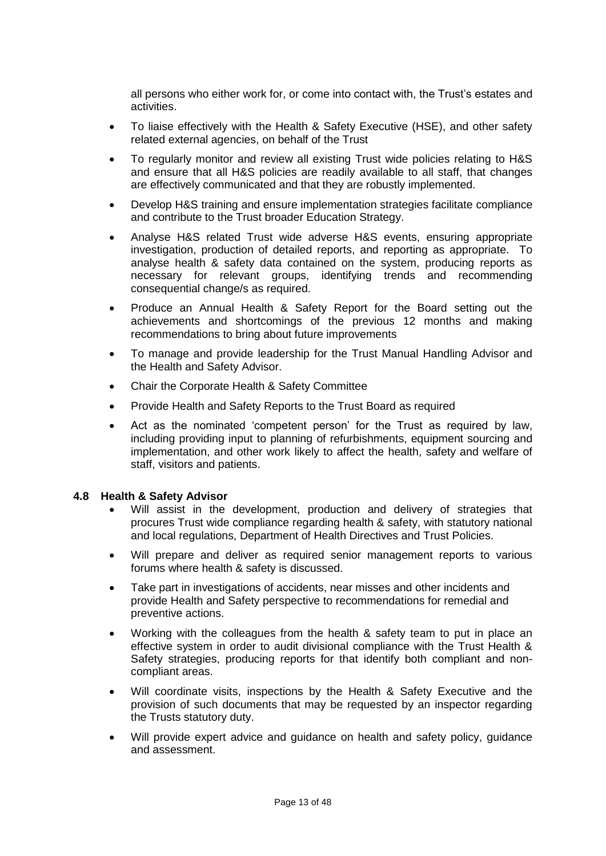all persons who either work for, or come into contact with, the Trust's estates and activities.

- To liaise effectively with the Health & Safety Executive (HSE), and other safety related external agencies, on behalf of the Trust
- To regularly monitor and review all existing Trust wide policies relating to H&S and ensure that all H&S policies are readily available to all staff, that changes are effectively communicated and that they are robustly implemented.
- Develop H&S training and ensure implementation strategies facilitate compliance and contribute to the Trust broader Education Strategy.
- Analyse H&S related Trust wide adverse H&S events, ensuring appropriate investigation, production of detailed reports, and reporting as appropriate. To analyse health & safety data contained on the system, producing reports as necessary for relevant groups, identifying trends and recommending consequential change/s as required.
- Produce an Annual Health & Safety Report for the Board setting out the achievements and shortcomings of the previous 12 months and making recommendations to bring about future improvements
- To manage and provide leadership for the Trust Manual Handling Advisor and the Health and Safety Advisor.
- Chair the Corporate Health & Safety Committee
- Provide Health and Safety Reports to the Trust Board as required
- Act as the nominated 'competent person' for the Trust as required by law, including providing input to planning of refurbishments, equipment sourcing and implementation, and other work likely to affect the health, safety and welfare of staff, visitors and patients.

#### **4.8 Health & Safety Advisor**

- Will assist in the development, production and delivery of strategies that procures Trust wide compliance regarding health & safety, with statutory national and local regulations, Department of Health Directives and Trust Policies.
- Will prepare and deliver as required senior management reports to various forums where health & safety is discussed.
- Take part in investigations of accidents, near misses and other incidents and provide Health and Safety perspective to recommendations for remedial and preventive actions.
- Working with the colleagues from the health & safety team to put in place an effective system in order to audit divisional compliance with the Trust Health & Safety strategies, producing reports for that identify both compliant and noncompliant areas.
- Will coordinate visits, inspections by the Health & Safety Executive and the provision of such documents that may be requested by an inspector regarding the Trusts statutory duty.
- Will provide expert advice and guidance on health and safety policy, guidance and assessment.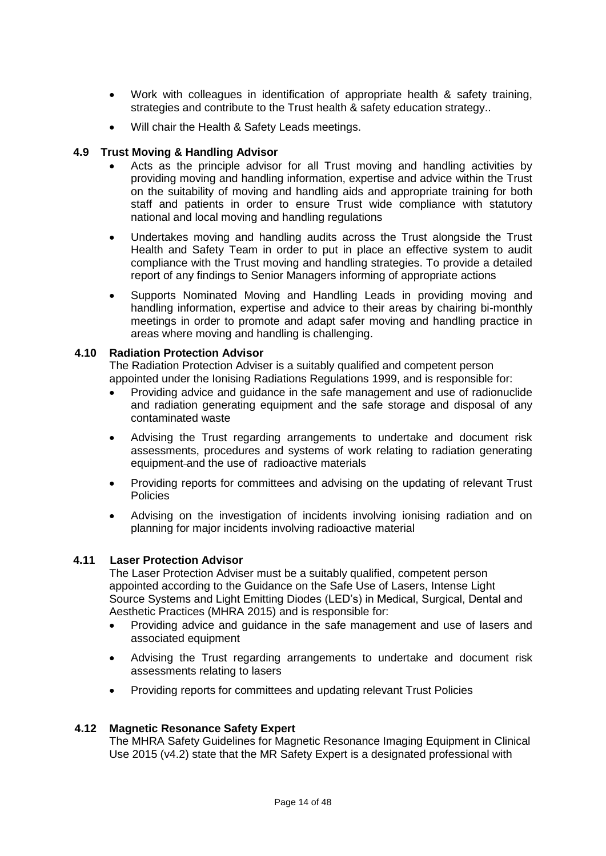- Work with colleagues in identification of appropriate health & safety training, strategies and contribute to the Trust health & safety education strategy..
- Will chair the Health & Safety Leads meetings.

### **4.9 Trust Moving & Handling Advisor**

- Acts as the principle advisor for all Trust moving and handling activities by providing moving and handling information, expertise and advice within the Trust on the suitability of moving and handling aids and appropriate training for both staff and patients in order to ensure Trust wide compliance with statutory national and local moving and handling regulations
- Undertakes moving and handling audits across the Trust alongside the Trust Health and Safety Team in order to put in place an effective system to audit compliance with the Trust moving and handling strategies. To provide a detailed report of any findings to Senior Managers informing of appropriate actions
- Supports Nominated Moving and Handling Leads in providing moving and handling information, expertise and advice to their areas by chairing bi-monthly meetings in order to promote and adapt safer moving and handling practice in areas where moving and handling is challenging.

#### **4.10 Radiation Protection Advisor**

The Radiation Protection Adviser is a suitably qualified and competent person appointed under the Ionising Radiations Regulations 1999, and is responsible for:

- Providing advice and guidance in the safe management and use of radionuclide and radiation generating equipment and the safe storage and disposal of any contaminated waste
- Advising the Trust regarding arrangements to undertake and document risk assessments, procedures and systems of work relating to radiation generating equipment and the use of radioactive materials
- Providing reports for committees and advising on the updating of relevant Trust **Policies**
- Advising on the investigation of incidents involving ionising radiation and on planning for major incidents involving radioactive material

#### **4.11 Laser Protection Advisor**

The Laser Protection Adviser must be a suitably qualified, competent person appointed according to the Guidance on the Safe Use of Lasers, Intense Light Source Systems and Light Emitting Diodes (LED's) in Medical, Surgical, Dental and Aesthetic Practices (MHRA 2015) and is responsible for:

- Providing advice and guidance in the safe management and use of lasers and associated equipment
- Advising the Trust regarding arrangements to undertake and document risk assessments relating to lasers
- Providing reports for committees and updating relevant Trust Policies

#### **4.12 Magnetic Resonance Safety Expert**

The MHRA Safety Guidelines for Magnetic Resonance Imaging Equipment in Clinical Use 2015 (v4.2) state that the MR Safety Expert is a designated professional with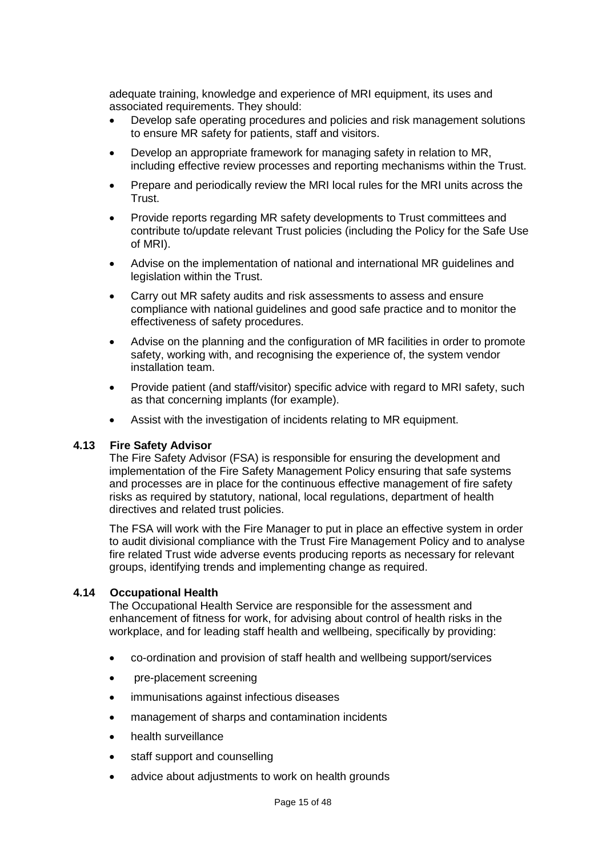adequate training, knowledge and experience of MRI equipment, its uses and associated requirements. They should:

- Develop safe operating procedures and policies and risk management solutions to ensure MR safety for patients, staff and visitors.
- Develop an appropriate framework for managing safety in relation to MR, including effective review processes and reporting mechanisms within the Trust.
- Prepare and periodically review the MRI local rules for the MRI units across the Trust.
- Provide reports regarding MR safety developments to Trust committees and contribute to/update relevant Trust policies (including the Policy for the Safe Use of MRI).
- Advise on the implementation of national and international MR guidelines and legislation within the Trust.
- Carry out MR safety audits and risk assessments to assess and ensure compliance with national guidelines and good safe practice and to monitor the effectiveness of safety procedures.
- Advise on the planning and the configuration of MR facilities in order to promote safety, working with, and recognising the experience of, the system vendor installation team.
- Provide patient (and staff/visitor) specific advice with regard to MRI safety, such as that concerning implants (for example).
- Assist with the investigation of incidents relating to MR equipment.

#### **4.13 Fire Safety Advisor**

The Fire Safety Advisor (FSA) is responsible for ensuring the development and implementation of the Fire Safety Management Policy ensuring that safe systems and processes are in place for the continuous effective management of fire safety risks as required by statutory, national, local regulations, department of health directives and related trust policies.

The FSA will work with the Fire Manager to put in place an effective system in order to audit divisional compliance with the Trust Fire Management Policy and to analyse fire related Trust wide adverse events producing reports as necessary for relevant groups, identifying trends and implementing change as required.

#### **4.14 Occupational Health**

The Occupational Health Service are responsible for the assessment and enhancement of fitness for work, for advising about control of health risks in the workplace, and for leading staff health and wellbeing, specifically by providing:

- co-ordination and provision of staff health and wellbeing support/services
- pre-placement screening
- immunisations against infectious diseases
- management of sharps and contamination incidents
- health surveillance
- staff support and counselling
- advice about adjustments to work on health grounds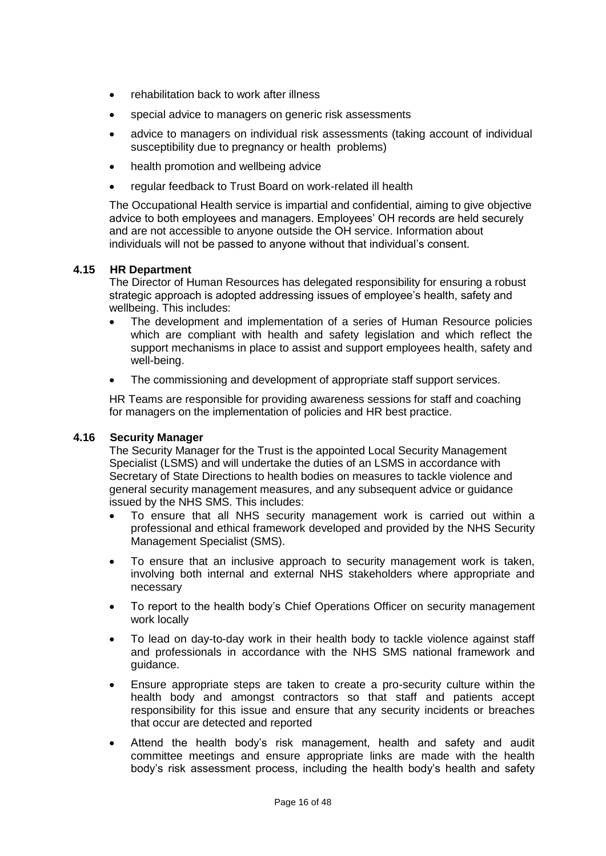- rehabilitation back to work after illness
- special advice to managers on generic risk assessments
- advice to managers on individual risk assessments (taking account of individual susceptibility due to pregnancy or health problems)
- health promotion and wellbeing advice
- regular feedback to Trust Board on work-related ill health

The Occupational Health service is impartial and confidential, aiming to give objective advice to both employees and managers. Employees' OH records are held securely and are not accessible to anyone outside the OH service. Information about individuals will not be passed to anyone without that individual's consent.

#### **4.15 HR Department**

The Director of Human Resources has delegated responsibility for ensuring a robust strategic approach is adopted addressing issues of employee's health, safety and wellbeing. This includes:

- The development and implementation of a series of Human Resource policies which are compliant with health and safety legislation and which reflect the support mechanisms in place to assist and support employees health, safety and well-being.
- The commissioning and development of appropriate staff support services.

HR Teams are responsible for providing awareness sessions for staff and coaching for managers on the implementation of policies and HR best practice.

#### **4.16 Security Manager**

The Security Manager for the Trust is the appointed Local Security Management Specialist (LSMS) and will undertake the duties of an LSMS in accordance with Secretary of State Directions to health bodies on measures to tackle violence and general security management measures, and any subsequent advice or guidance issued by the NHS SMS. This includes:

- To ensure that all NHS security management work is carried out within a professional and ethical framework developed and provided by the NHS Security Management Specialist (SMS).
- To ensure that an inclusive approach to security management work is taken, involving both internal and external NHS stakeholders where appropriate and necessary
- To report to the health body's Chief Operations Officer on security management work locally
- To lead on day-to-day work in their health body to tackle violence against staff and professionals in accordance with the NHS SMS national framework and guidance.
- Ensure appropriate steps are taken to create a pro-security culture within the health body and amongst contractors so that staff and patients accept responsibility for this issue and ensure that any security incidents or breaches that occur are detected and reported
- Attend the health body's risk management, health and safety and audit committee meetings and ensure appropriate links are made with the health body's risk assessment process, including the health body's health and safety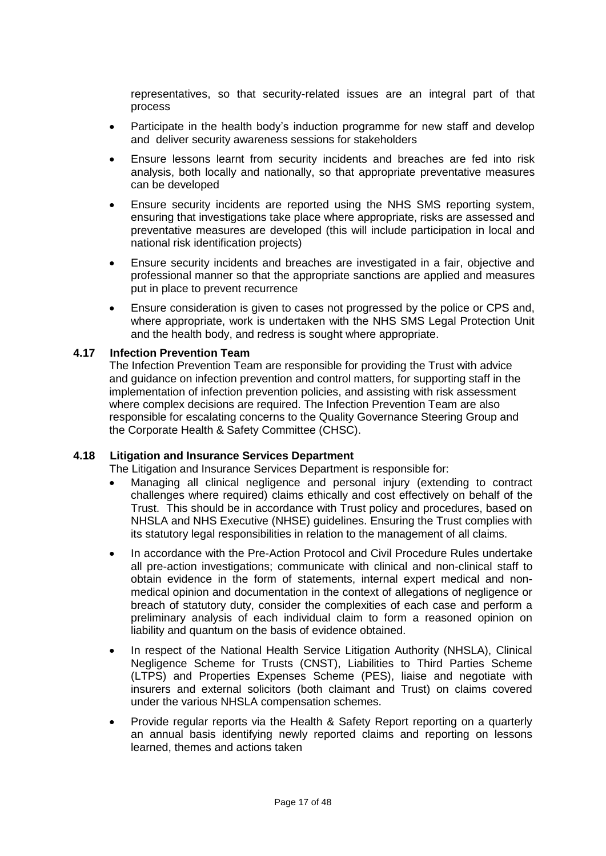representatives, so that security-related issues are an integral part of that process

- Participate in the health body's induction programme for new staff and develop and deliver security awareness sessions for stakeholders
- Ensure lessons learnt from security incidents and breaches are fed into risk analysis, both locally and nationally, so that appropriate preventative measures can be developed
- Ensure security incidents are reported using the NHS SMS reporting system, ensuring that investigations take place where appropriate, risks are assessed and preventative measures are developed (this will include participation in local and national risk identification projects)
- Ensure security incidents and breaches are investigated in a fair, objective and professional manner so that the appropriate sanctions are applied and measures put in place to prevent recurrence
- Ensure consideration is given to cases not progressed by the police or CPS and, where appropriate, work is undertaken with the NHS SMS Legal Protection Unit and the health body, and redress is sought where appropriate.

### **4.17 Infection Prevention Team**

The Infection Prevention Team are responsible for providing the Trust with advice and guidance on infection prevention and control matters, for supporting staff in the implementation of infection prevention policies, and assisting with risk assessment where complex decisions are required. The Infection Prevention Team are also responsible for escalating concerns to the Quality Governance Steering Group and the Corporate Health & Safety Committee (CHSC).

#### **4.18 Litigation and Insurance Services Department**

The Litigation and Insurance Services Department is responsible for:

- Managing all clinical negligence and personal injury (extending to contract challenges where required) claims ethically and cost effectively on behalf of the Trust. This should be in accordance with Trust policy and procedures, based on NHSLA and NHS Executive (NHSE) guidelines. Ensuring the Trust complies with its statutory legal responsibilities in relation to the management of all claims.
- In accordance with the Pre-Action Protocol and Civil Procedure Rules undertake all pre-action investigations; communicate with clinical and non-clinical staff to obtain evidence in the form of statements, internal expert medical and nonmedical opinion and documentation in the context of allegations of negligence or breach of statutory duty, consider the complexities of each case and perform a preliminary analysis of each individual claim to form a reasoned opinion on liability and quantum on the basis of evidence obtained.
- In respect of the National Health Service Litigation Authority (NHSLA), Clinical Negligence Scheme for Trusts (CNST), Liabilities to Third Parties Scheme (LTPS) and Properties Expenses Scheme (PES), liaise and negotiate with insurers and external solicitors (both claimant and Trust) on claims covered under the various NHSLA compensation schemes.
- Provide regular reports via the Health & Safety Report reporting on a quarterly an annual basis identifying newly reported claims and reporting on lessons learned, themes and actions taken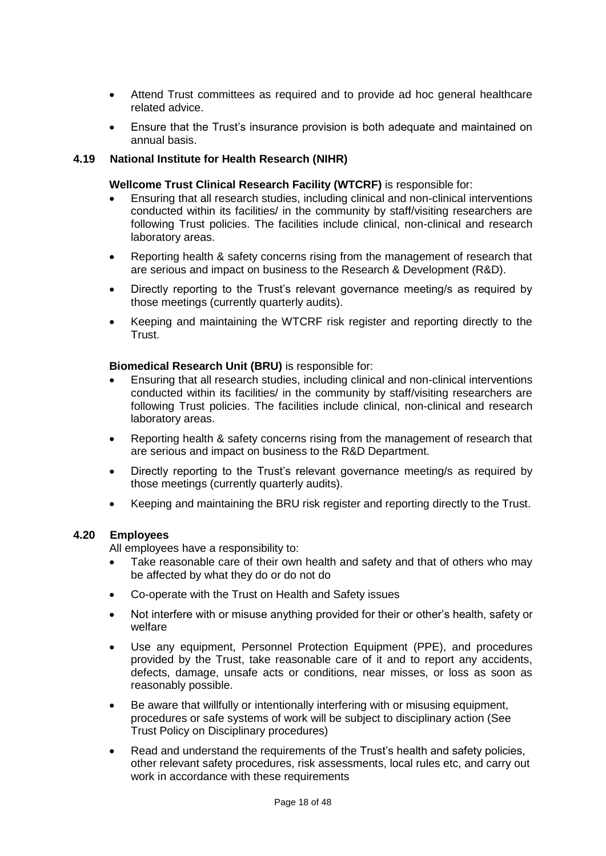- Attend Trust committees as required and to provide ad hoc general healthcare related advice.
- Ensure that the Trust's insurance provision is both adequate and maintained on annual basis.

#### **4.19 National Institute for Health Research (NIHR)**

#### **Wellcome Trust Clinical Research Facility (WTCRF)** is responsible for:

- Ensuring that all research studies, including clinical and non-clinical interventions conducted within its facilities/ in the community by staff/visiting researchers are following Trust policies. The facilities include clinical, non-clinical and research laboratory areas.
- Reporting health & safety concerns rising from the management of research that are serious and impact on business to the Research & Development (R&D).
- Directly reporting to the Trust's relevant governance meeting/s as required by those meetings (currently quarterly audits).
- Keeping and maintaining the WTCRF risk register and reporting directly to the Trust.

#### **Biomedical Research Unit (BRU)** is responsible for:

- Ensuring that all research studies, including clinical and non-clinical interventions conducted within its facilities/ in the community by staff/visiting researchers are following Trust policies. The facilities include clinical, non-clinical and research laboratory areas.
- Reporting health & safety concerns rising from the management of research that are serious and impact on business to the R&D Department.
- Directly reporting to the Trust's relevant governance meeting/s as required by those meetings (currently quarterly audits).
- Keeping and maintaining the BRU risk register and reporting directly to the Trust.

#### **4.20 Employees**

All employees have a responsibility to:

- Take reasonable care of their own health and safety and that of others who may be affected by what they do or do not do
- Co-operate with the Trust on Health and Safety issues
- Not interfere with or misuse anything provided for their or other's health, safety or welfare
- Use any equipment, Personnel Protection Equipment (PPE), and procedures provided by the Trust, take reasonable care of it and to report any accidents, defects, damage, unsafe acts or conditions, near misses, or loss as soon as reasonably possible.
- Be aware that willfully or intentionally interfering with or misusing equipment, procedures or safe systems of work will be subject to disciplinary action (See Trust Policy on Disciplinary procedures)
- Read and understand the requirements of the Trust's health and safety policies, other relevant safety procedures, risk assessments, local rules etc, and carry out work in accordance with these requirements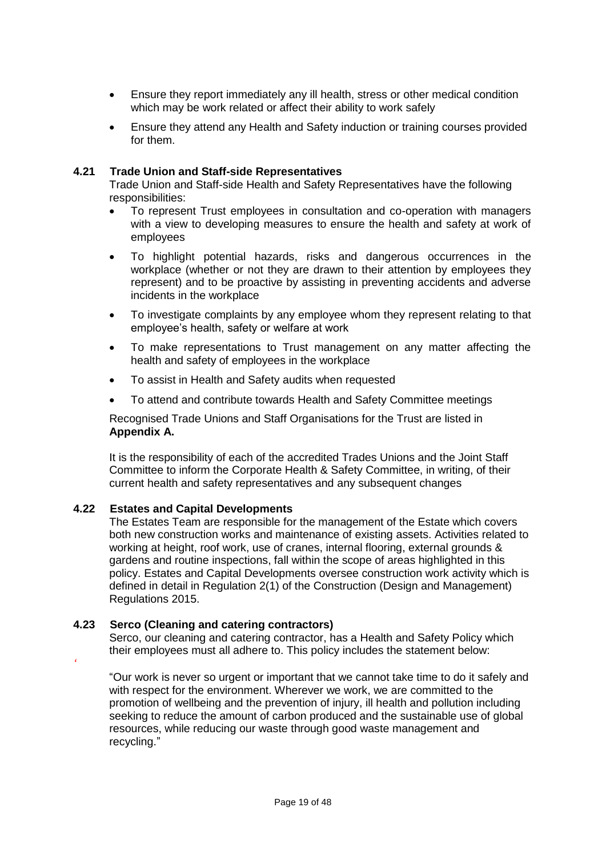- Ensure they report immediately any ill health, stress or other medical condition which may be work related or affect their ability to work safely
- Ensure they attend any Health and Safety induction or training courses provided for them.

#### **4.21 Trade Union and Staff-side Representatives**

Trade Union and Staff-side Health and Safety Representatives have the following responsibilities:

- To represent Trust employees in consultation and co-operation with managers with a view to developing measures to ensure the health and safety at work of employees
- To highlight potential hazards, risks and dangerous occurrences in the workplace (whether or not they are drawn to their attention by employees they represent) and to be proactive by assisting in preventing accidents and adverse incidents in the workplace
- To investigate complaints by any employee whom they represent relating to that employee's health, safety or welfare at work
- To make representations to Trust management on any matter affecting the health and safety of employees in the workplace
- To assist in Health and Safety audits when requested
- To attend and contribute towards Health and Safety Committee meetings

Recognised Trade Unions and Staff Organisations for the Trust are listed in **Appendix A.**

It is the responsibility of each of the accredited Trades Unions and the Joint Staff Committee to inform the Corporate Health & Safety Committee, in writing, of their current health and safety representatives and any subsequent changes

#### **4.22 Estates and Capital Developments**

The Estates Team are responsible for the management of the Estate which covers both new construction works and maintenance of existing assets. Activities related to working at height, roof work, use of cranes, internal flooring, external grounds & gardens and routine inspections, fall within the scope of areas highlighted in this policy. Estates and Capital Developments oversee construction work activity which is defined in detail in Regulation 2(1) of the Construction (Design and Management) Regulations 2015.

#### **4.23 Serco (Cleaning and catering contractors)**

Serco, our cleaning and catering contractor, has a Health and Safety Policy which their employees must all adhere to. This policy includes the statement below:

*'*

"Our work is never so urgent or important that we cannot take time to do it safely and with respect for the environment. Wherever we work, we are committed to the promotion of wellbeing and the prevention of injury, ill health and pollution including seeking to reduce the amount of carbon produced and the sustainable use of global resources, while reducing our waste through good waste management and recycling."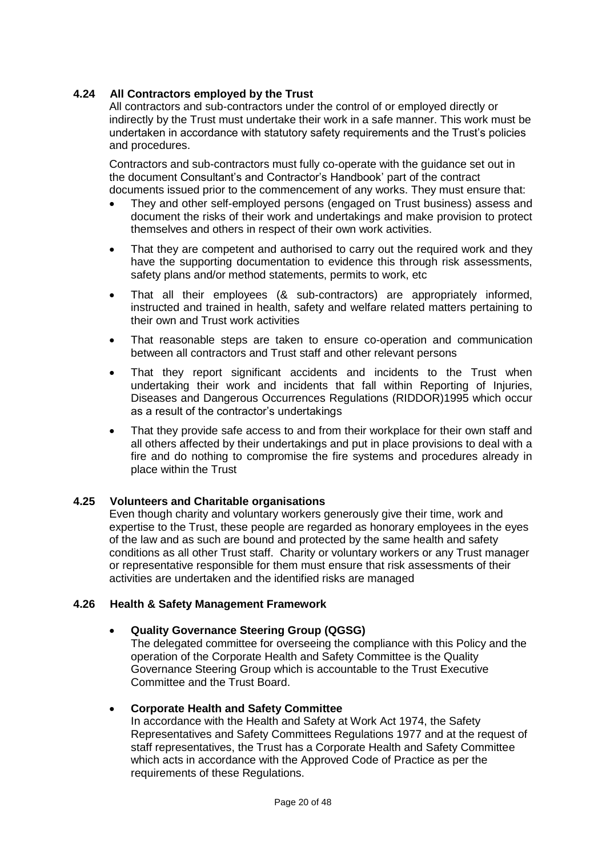# **4.24 All Contractors employed by the Trust**

All contractors and sub-contractors under the control of or employed directly or indirectly by the Trust must undertake their work in a safe manner. This work must be undertaken in accordance with statutory safety requirements and the Trust's policies and procedures.

Contractors and sub-contractors must fully co-operate with the guidance set out in the document Consultant's and Contractor's Handbook' part of the contract documents issued prior to the commencement of any works. They must ensure that:

- They and other self-employed persons (engaged on Trust business) assess and document the risks of their work and undertakings and make provision to protect themselves and others in respect of their own work activities.
- That they are competent and authorised to carry out the required work and they have the supporting documentation to evidence this through risk assessments, safety plans and/or method statements, permits to work, etc
- That all their employees (& sub-contractors) are appropriately informed, instructed and trained in health, safety and welfare related matters pertaining to their own and Trust work activities
- That reasonable steps are taken to ensure co-operation and communication between all contractors and Trust staff and other relevant persons
- That they report significant accidents and incidents to the Trust when undertaking their work and incidents that fall within Reporting of Injuries, Diseases and Dangerous Occurrences Regulations (RIDDOR)1995 which occur as a result of the contractor's undertakings
- That they provide safe access to and from their workplace for their own staff and all others affected by their undertakings and put in place provisions to deal with a fire and do nothing to compromise the fire systems and procedures already in place within the Trust

#### **4.25 Volunteers and Charitable organisations**

Even though charity and voluntary workers generously give their time, work and expertise to the Trust, these people are regarded as honorary employees in the eyes of the law and as such are bound and protected by the same health and safety conditions as all other Trust staff. Charity or voluntary workers or any Trust manager or representative responsible for them must ensure that risk assessments of their activities are undertaken and the identified risks are managed

#### **4.26 Health & Safety Management Framework**

#### **Quality Governance Steering Group (QGSG)**

The delegated committee for overseeing the compliance with this Policy and the operation of the Corporate Health and Safety Committee is the Quality Governance Steering Group which is accountable to the Trust Executive Committee and the Trust Board.

#### **Corporate Health and Safety Committee**

In accordance with the Health and Safety at Work Act 1974, the Safety Representatives and Safety Committees Regulations 1977 and at the request of staff representatives, the Trust has a Corporate Health and Safety Committee which acts in accordance with the Approved Code of Practice as per the requirements of these Regulations.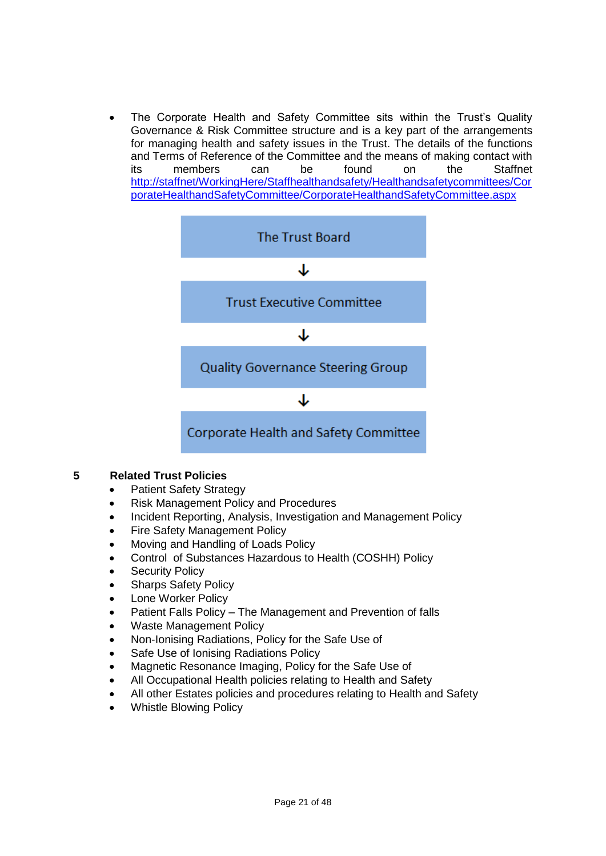The Corporate Health and Safety Committee sits within the Trust's Quality Governance & Risk Committee structure and is a key part of the arrangements for managing health and safety issues in the Trust. The details of the functions and Terms of Reference of the Committee and the means of making contact with its members can be found on the Staffnet [http://staffnet/WorkingHere/Staffhealthandsafety/Healthandsafetycommittees/Cor](http://staffnet/WorkingHere/Staffhealthandsafety/Healthandsafetycommittees/CorporateHealthandSafetyCommittee/CorporateHealthandSafetyCommittee.aspx) [porateHealthandSafetyCommittee/CorporateHealthandSafetyCommittee.aspx](http://staffnet/WorkingHere/Staffhealthandsafety/Healthandsafetycommittees/CorporateHealthandSafetyCommittee/CorporateHealthandSafetyCommittee.aspx)



### **5 Related Trust Policies**

- Patient Safety Strategy
- Risk Management Policy and Procedures
- Incident Reporting, Analysis, Investigation and Management Policy
- Fire Safety Management Policy
- Moving and Handling of Loads Policy
- Control of Substances Hazardous to Health (COSHH) Policy
- Security Policy
- Sharps Safety Policy
- Lone Worker Policy
- Patient Falls Policy The Management and Prevention of falls
- Waste Management Policy
- Non-Ionising Radiations, Policy for the Safe Use of
- Safe Use of Ionising Radiations Policy
- Magnetic Resonance Imaging, Policy for the Safe Use of
- All Occupational Health policies relating to Health and Safety
- All other Estates policies and procedures relating to Health and Safety
- Whistle Blowing Policy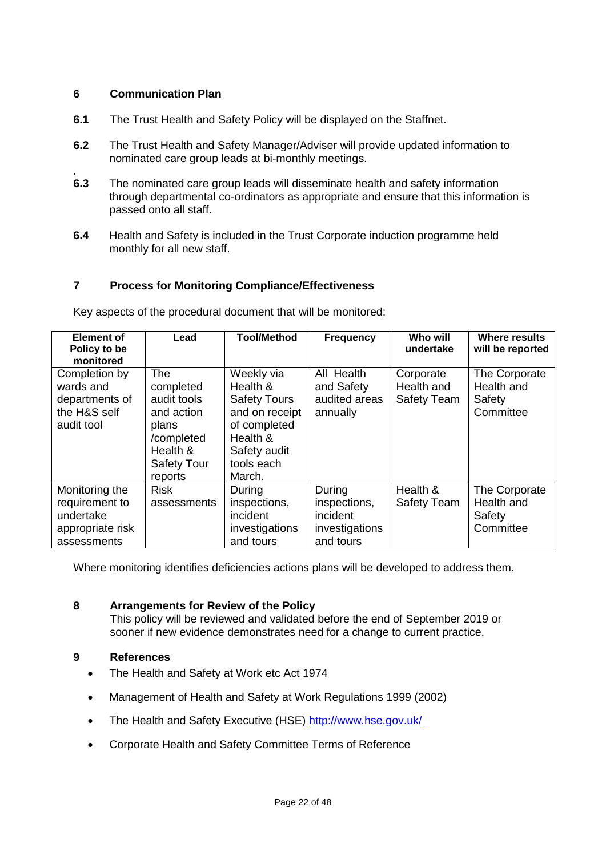### **6 Communication Plan**

- **6.1** The Trust Health and Safety Policy will be displayed on the Staffnet.
- **6.2** The Trust Health and Safety Manager/Adviser will provide updated information to nominated care group leads at bi-monthly meetings.
- . **6.3** The nominated care group leads will disseminate health and safety information through departmental co-ordinators as appropriate and ensure that this information is passed onto all staff.
- **6.4** Health and Safety is included in the Trust Corporate induction programme held monthly for all new staff.

# **7 Process for Monitoring Compliance/Effectiveness**

| <b>Element of</b><br>Policy to be<br>monitored                                   | Lead                                                                                                                     | <b>Tool/Method</b>                                                                                                                  | <b>Frequency</b>                                                  | Who will<br>undertake                         | Where results<br>will be reported                  |
|----------------------------------------------------------------------------------|--------------------------------------------------------------------------------------------------------------------------|-------------------------------------------------------------------------------------------------------------------------------------|-------------------------------------------------------------------|-----------------------------------------------|----------------------------------------------------|
| Completion by<br>wards and<br>departments of<br>the H&S self<br>audit tool       | <b>The</b><br>completed<br>audit tools<br>and action<br>plans<br>/completed<br>Health &<br><b>Safety Tour</b><br>reports | Weekly via<br>Health &<br><b>Safety Tours</b><br>and on receipt<br>of completed<br>Health &<br>Safety audit<br>tools each<br>March. | All Health<br>and Safety<br>audited areas<br>annually             | Corporate<br>Health and<br><b>Safety Team</b> | The Corporate<br>Health and<br>Safety<br>Committee |
| Monitoring the<br>requirement to<br>undertake<br>appropriate risk<br>assessments | <b>Risk</b><br>assessments                                                                                               | During<br>inspections,<br>incident<br>investigations<br>and tours                                                                   | During<br>inspections,<br>incident<br>investigations<br>and tours | Health &<br><b>Safety Team</b>                | The Corporate<br>Health and<br>Safety<br>Committee |

Key aspects of the procedural document that will be monitored:

Where monitoring identifies deficiencies actions plans will be developed to address them.

#### **8 Arrangements for Review of the Policy**

This policy will be reviewed and validated before the end of September 2019 or sooner if new evidence demonstrates need for a change to current practice.

#### **9 References**

- The Health and Safety at Work etc Act 1974
- Management of Health and Safety at Work Regulations 1999 (2002)
- The Health and Safety Executive (HSE)<http://www.hse.gov.uk/>
- Corporate Health and Safety Committee Terms of Reference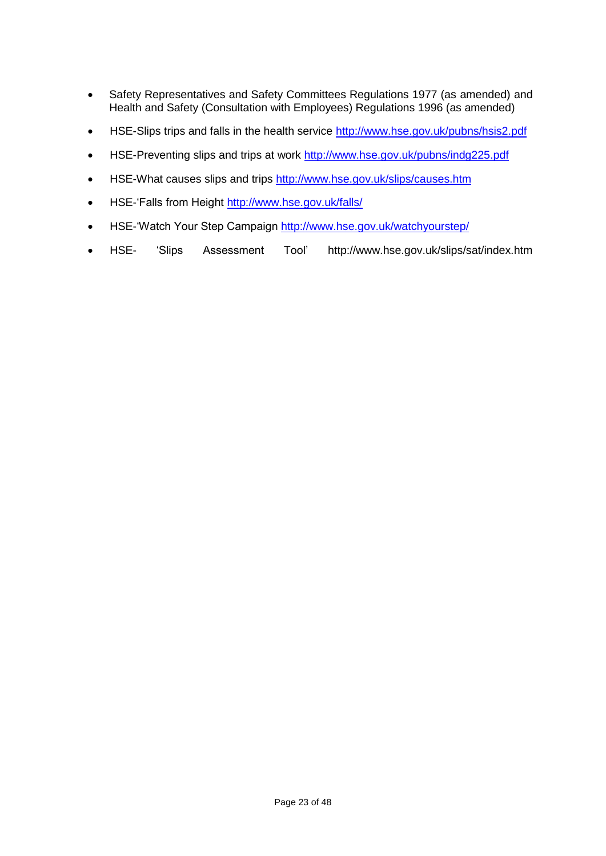- Safety Representatives and Safety Committees Regulations 1977 (as amended) and Health and Safety (Consultation with Employees) Regulations 1996 (as amended)
- HSE-Slips trips and falls in the health service<http://www.hse.gov.uk/pubns/hsis2.pdf>
- HSE-Preventing slips and trips at work<http://www.hse.gov.uk/pubns/indg225.pdf>
- HSE-What causes slips and trips<http://www.hse.gov.uk/slips/causes.htm>
- HSE-'Falls from Height<http://www.hse.gov.uk/falls/>
- HSE-'Watch Your Step Campaign<http://www.hse.gov.uk/watchyourstep/>
- HSE- 'Slips Assessment Tool' <http://www.hse.gov.uk/slips/sat/index.htm>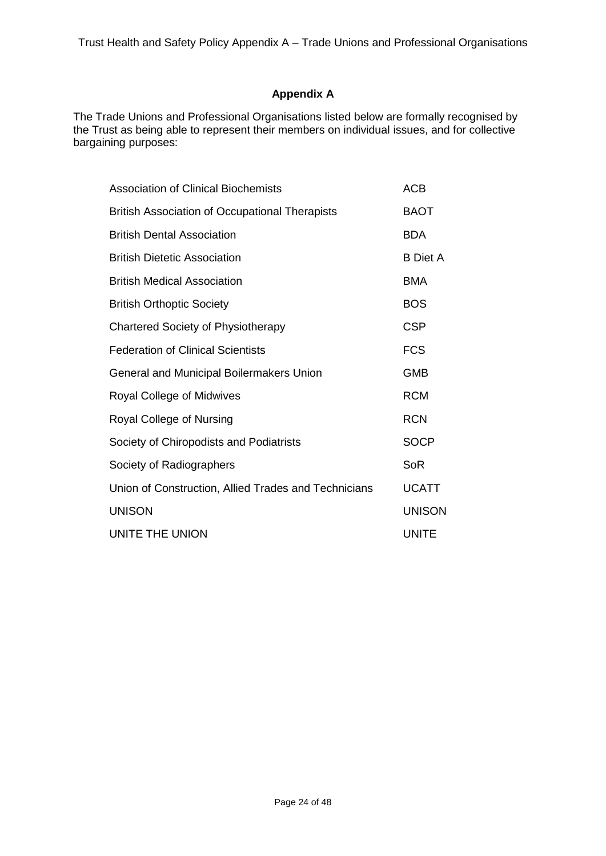# **Appendix A**

The Trade Unions and Professional Organisations listed below are formally recognised by the Trust as being able to represent their members on individual issues, and for collective bargaining purposes:

| <b>Association of Clinical Biochemists</b>            | <b>ACB</b>      |
|-------------------------------------------------------|-----------------|
| <b>British Association of Occupational Therapists</b> | <b>BAOT</b>     |
| <b>British Dental Association</b>                     | <b>BDA</b>      |
| <b>British Dietetic Association</b>                   | <b>B</b> Diet A |
| <b>British Medical Association</b>                    | <b>BMA</b>      |
| <b>British Orthoptic Society</b>                      | <b>BOS</b>      |
| Chartered Society of Physiotherapy                    | <b>CSP</b>      |
| <b>Federation of Clinical Scientists</b>              | <b>FCS</b>      |
| General and Municipal Boilermakers Union              | <b>GMB</b>      |
| <b>Royal College of Midwives</b>                      | <b>RCM</b>      |
| Royal College of Nursing                              | <b>RCN</b>      |
| Society of Chiropodists and Podiatrists               | <b>SOCP</b>     |
| Society of Radiographers                              | <b>SoR</b>      |
| Union of Construction, Allied Trades and Technicians  | <b>UCATT</b>    |
| <b>UNISON</b>                                         | <b>UNISON</b>   |
| UNITE THE UNION                                       | <b>UNITE</b>    |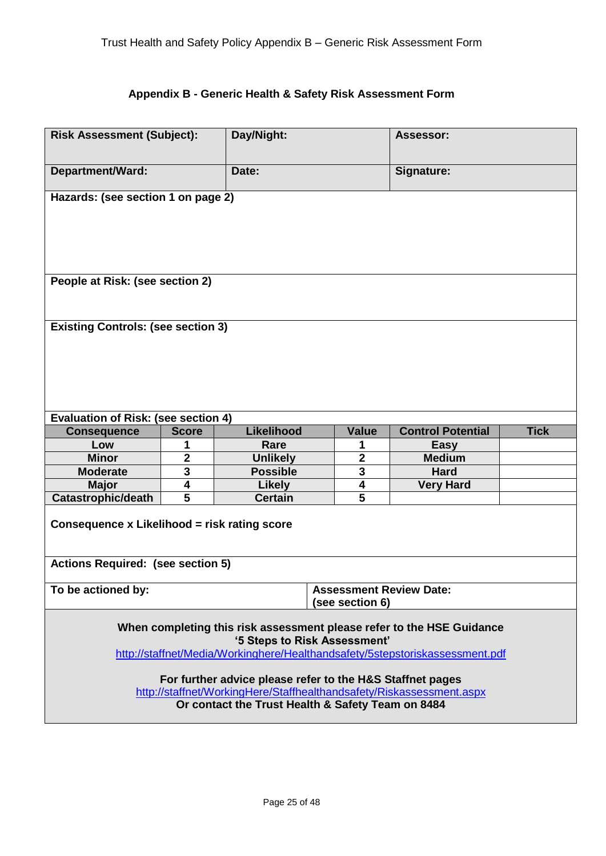# **Appendix B - Generic Health & Safety Risk Assessment Form**

|                                                                                          | Day/Night:<br><b>Risk Assessment (Subject):</b> |                              |                                                         | <b>Assessor:</b>                                                                                                                                      |  |  |  |
|------------------------------------------------------------------------------------------|-------------------------------------------------|------------------------------|---------------------------------------------------------|-------------------------------------------------------------------------------------------------------------------------------------------------------|--|--|--|
| <b>Department/Ward:</b><br>Date:<br>Signature:                                           |                                                 |                              |                                                         |                                                                                                                                                       |  |  |  |
| Hazards: (see section 1 on page 2)                                                       |                                                 |                              |                                                         |                                                                                                                                                       |  |  |  |
| People at Risk: (see section 2)                                                          |                                                 |                              |                                                         |                                                                                                                                                       |  |  |  |
|                                                                                          | <b>Existing Controls: (see section 3)</b>       |                              |                                                         |                                                                                                                                                       |  |  |  |
| <b>Evaluation of Risk: (see section 4)</b>                                               |                                                 |                              |                                                         |                                                                                                                                                       |  |  |  |
| <b>Consequence</b>                                                                       | <b>Score</b>                                    | <b>Likelihood</b>            | <b>Tick</b><br><b>Value</b><br><b>Control Potential</b> |                                                                                                                                                       |  |  |  |
|                                                                                          |                                                 |                              |                                                         |                                                                                                                                                       |  |  |  |
| Low                                                                                      | 1                                               | Rare                         | 1                                                       | <b>Easy</b>                                                                                                                                           |  |  |  |
| <b>Minor</b>                                                                             | $\mathbf 2$                                     | <b>Unlikely</b>              | $\mathbf{2}$                                            | <b>Medium</b>                                                                                                                                         |  |  |  |
| <b>Moderate</b>                                                                          | 3                                               | <b>Possible</b>              | 3                                                       | <b>Hard</b>                                                                                                                                           |  |  |  |
| <b>Major</b>                                                                             | 4                                               | <b>Likely</b>                | 4                                                       | <b>Very Hard</b>                                                                                                                                      |  |  |  |
| <b>Catastrophic/death</b>                                                                | 5                                               | <b>Certain</b>               | 5                                                       |                                                                                                                                                       |  |  |  |
| Consequence x Likelihood = risk rating score<br><b>Actions Required: (see section 5)</b> |                                                 |                              |                                                         |                                                                                                                                                       |  |  |  |
| To be actioned by:                                                                       |                                                 |                              | <b>Assessment Review Date:</b><br>(see section 6)       |                                                                                                                                                       |  |  |  |
|                                                                                          |                                                 | '5 Steps to Risk Assessment' |                                                         | When completing this risk assessment please refer to the HSE Guidance<br>http://staffnet/Media/Workinghere/Healthandsafety/5stepstoriskassessment.pdf |  |  |  |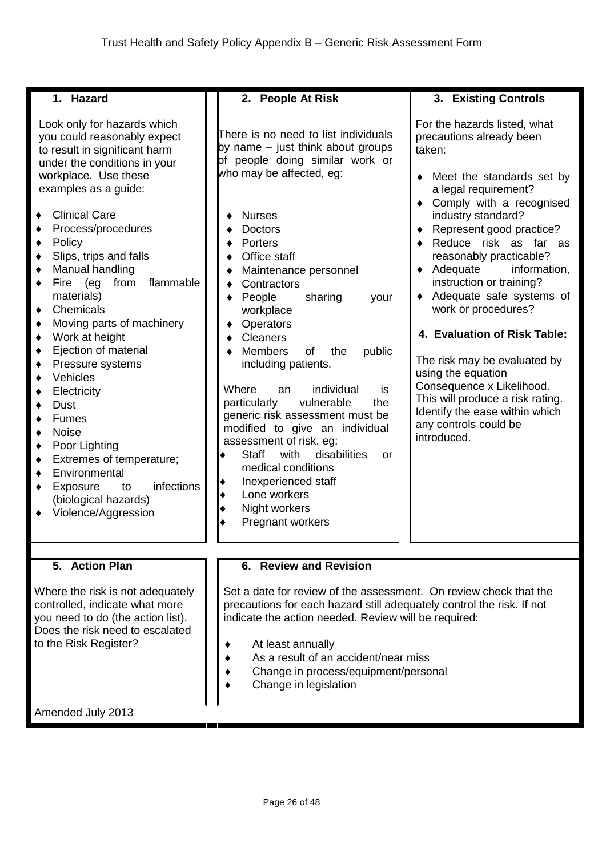| 1. Hazard                                                                                                                                                                                                                                                                                                                                                                                                                                                                                                                                                                                                                                                                                                                                                | 2. People At Risk                                                                                                                                                                                                                                                                                                                                                                                                                                                                                                                                                                                                                                                                                                            | 3. Existing Controls                                                                                                                                                                                                                                                                                                                                                                                                                                                                                                                                                                                              |
|----------------------------------------------------------------------------------------------------------------------------------------------------------------------------------------------------------------------------------------------------------------------------------------------------------------------------------------------------------------------------------------------------------------------------------------------------------------------------------------------------------------------------------------------------------------------------------------------------------------------------------------------------------------------------------------------------------------------------------------------------------|------------------------------------------------------------------------------------------------------------------------------------------------------------------------------------------------------------------------------------------------------------------------------------------------------------------------------------------------------------------------------------------------------------------------------------------------------------------------------------------------------------------------------------------------------------------------------------------------------------------------------------------------------------------------------------------------------------------------------|-------------------------------------------------------------------------------------------------------------------------------------------------------------------------------------------------------------------------------------------------------------------------------------------------------------------------------------------------------------------------------------------------------------------------------------------------------------------------------------------------------------------------------------------------------------------------------------------------------------------|
| Look only for hazards which<br>you could reasonably expect<br>to result in significant harm<br>under the conditions in your<br>workplace. Use these<br>examples as a guide:<br><b>Clinical Care</b><br>٠<br>Process/procedures<br>Policy<br>٠<br>Slips, trips and falls<br>٠<br>Manual handling<br>٠<br>flammable<br>Fire (eg<br>from<br>٠<br>materials)<br>Chemicals<br>٠<br>Moving parts of machinery<br>٠<br>Work at height<br>٠<br>Ejection of material<br>٠<br>Pressure systems<br>٠<br>Vehicles<br>٠<br>Electricity<br>٠<br><b>Dust</b><br>٠<br><b>Fumes</b><br><b>Noise</b><br>٠<br>Poor Lighting<br>٠<br>Extremes of temperature;<br>٠<br>Environmental<br>٠<br>infections<br>Exposure<br>to<br>٠<br>(biological hazards)<br>Violence/Aggression | There is no need to list individuals<br>by name $-$ just think about groups<br>of people doing similar work or<br>who may be affected, eg:<br><b>Nurses</b><br><b>Doctors</b><br>Porters<br>Office staff<br>Maintenance personnel<br>Contractors<br>People<br>sharing<br>your<br>workplace<br>Operators<br><b>Cleaners</b><br><b>Members</b><br>of<br>the<br>public<br>including patients.<br>Where<br>individual<br>is<br>an<br>vulnerable<br>the<br>particularly<br>generic risk assessment must be<br>modified to give an individual<br>assessment of risk. eg:<br>disabilities<br><b>Staff</b><br>with<br>or<br>medical conditions<br>Inexperienced staff<br>٠<br>Lone workers<br>٠<br>Night workers<br>Pregnant workers | For the hazards listed, what<br>precautions already been<br>taken:<br>Meet the standards set by<br>a legal requirement?<br>Comply with a recognised<br>industry standard?<br>Represent good practice?<br>Reduce risk as far as<br>reasonably practicable?<br>$\bullet$ Adequate<br>information,<br>instruction or training?<br>• Adequate safe systems of<br>work or procedures?<br>4. Evaluation of Risk Table:<br>The risk may be evaluated by<br>using the equation<br>Consequence x Likelihood.<br>This will produce a risk rating.<br>Identify the ease within which<br>any controls could be<br>introduced. |
|                                                                                                                                                                                                                                                                                                                                                                                                                                                                                                                                                                                                                                                                                                                                                          |                                                                                                                                                                                                                                                                                                                                                                                                                                                                                                                                                                                                                                                                                                                              |                                                                                                                                                                                                                                                                                                                                                                                                                                                                                                                                                                                                                   |
| 5. Action Plan<br>Where the risk is not adequately<br>controlled, indicate what more<br>you need to do (the action list).<br>Does the risk need to escalated<br>to the Risk Register?<br>Amended July 2013                                                                                                                                                                                                                                                                                                                                                                                                                                                                                                                                               | 6. Review and Revision<br>Set a date for review of the assessment. On review check that the<br>precautions for each hazard still adequately control the risk. If not<br>indicate the action needed. Review will be required:<br>At least annually<br>As a result of an accident/near miss<br>Change in process/equipment/personal<br>Change in legislation                                                                                                                                                                                                                                                                                                                                                                   |                                                                                                                                                                                                                                                                                                                                                                                                                                                                                                                                                                                                                   |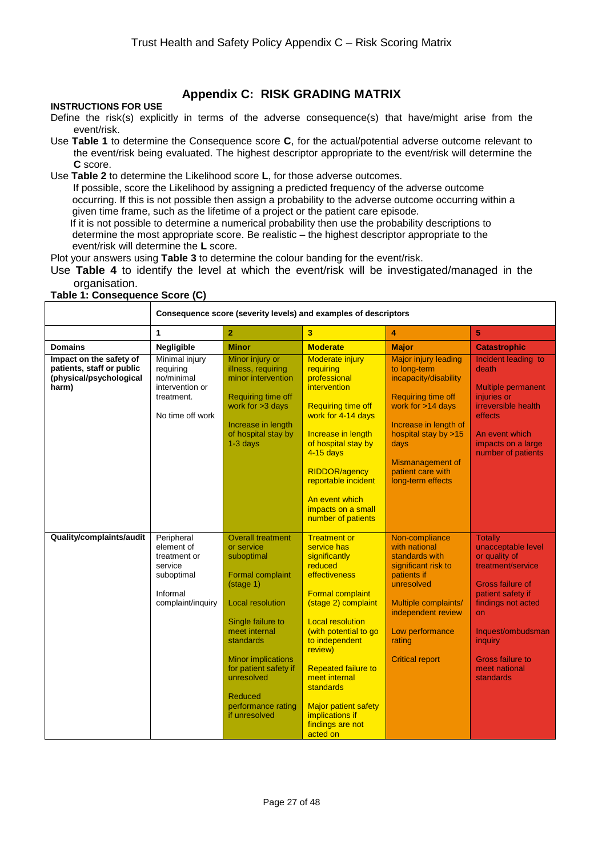# **Appendix C: RISK GRADING MATRIX**

#### **INSTRUCTIONS FOR USE**

- Define the risk(s) explicitly in terms of the adverse consequence(s) that have/might arise from the event/risk.
- Use **Table 1** to determine the Consequence score **C**, for the actual/potential adverse outcome relevant to the event/risk being evaluated. The highest descriptor appropriate to the event/risk will determine the **C** score.
- Use **Table 2** to determine the Likelihood score **L**, for those adverse outcomes.

 If possible, score the Likelihood by assigning a predicted frequency of the adverse outcome occurring. If this is not possible then assign a probability to the adverse outcome occurring within a given time frame, such as the lifetime of a project or the patient care episode.

 If it is not possible to determine a numerical probability then use the probability descriptions to determine the most appropriate score. Be realistic – the highest descriptor appropriate to the event/risk will determine the **L** score.

Plot your answers using **Table 3** to determine the colour banding for the event/risk.

Use **Table 4** to identify the level at which the event/risk will be investigated/managed in the organisation.

#### **Table 1: Consequence Score (C)**

|                                                                                          | Consequence score (severity levels) and examples of descriptors                                    |                                                                                                                                                                                                                                                                                                  |                                                                                                                                                                                                                                                                                                                                                                         |                                                                                                                                                                                                                                        |                                                                                                                                                                                                                                                 |
|------------------------------------------------------------------------------------------|----------------------------------------------------------------------------------------------------|--------------------------------------------------------------------------------------------------------------------------------------------------------------------------------------------------------------------------------------------------------------------------------------------------|-------------------------------------------------------------------------------------------------------------------------------------------------------------------------------------------------------------------------------------------------------------------------------------------------------------------------------------------------------------------------|----------------------------------------------------------------------------------------------------------------------------------------------------------------------------------------------------------------------------------------|-------------------------------------------------------------------------------------------------------------------------------------------------------------------------------------------------------------------------------------------------|
|                                                                                          | 1                                                                                                  | $\overline{2}$                                                                                                                                                                                                                                                                                   | $\overline{\mathbf{3}}$                                                                                                                                                                                                                                                                                                                                                 | 4                                                                                                                                                                                                                                      | 5                                                                                                                                                                                                                                               |
| <b>Domains</b>                                                                           | Negligible                                                                                         | <b>Minor</b>                                                                                                                                                                                                                                                                                     | <b>Moderate</b>                                                                                                                                                                                                                                                                                                                                                         | <b>Major</b>                                                                                                                                                                                                                           | <b>Catastrophic</b>                                                                                                                                                                                                                             |
| Impact on the safety of<br>patients, staff or public<br>(physical/psychological<br>harm) | Minimal injury<br>requiring<br>no/minimal<br>intervention or<br>treatment.<br>No time off work     | Minor injury or<br>illness, requiring<br>minor intervention<br>Requiring time off<br>work for $>3$ days<br>Increase in length<br>of hospital stay by<br>$1-3$ days                                                                                                                               | <b>Moderate injury</b><br>requiring<br>professional<br>intervention<br><b>Requiring time off</b><br>work for 4-14 days<br>Increase in length<br>of hospital stay by<br>4-15 days<br><b>RIDDOR/agency</b><br>reportable incident<br>An event which<br>impacts on a small<br>number of patients                                                                           | <b>Major injury leading</b><br>to long-term<br>incapacity/disability<br>Requiring time off<br>work for >14 days<br>Increase in length of<br>hospital stay by >15<br>days<br>Mismanagement of<br>patient care with<br>long-term effects | Incident leading to<br>death<br><b>Multiple permanent</b><br>injuries or<br><i>irreversible</i> health<br>effects<br>An event which<br>impacts on a large<br>number of patients                                                                 |
| Quality/complaints/audit                                                                 | Peripheral<br>element of<br>treatment or<br>service<br>suboptimal<br>Informal<br>complaint/inquiry | <b>Overall treatment</b><br>or service<br>suboptimal<br>Formal complaint<br>(stage 1)<br><b>Local resolution</b><br>Single failure to<br>meet internal<br>standards<br><b>Minor implications</b><br>for patient safety if<br>unresolved<br><b>Reduced</b><br>performance rating<br>if unresolved | <b>Treatment or</b><br>service has<br>significantly<br>reduced<br><b>effectiveness</b><br><b>Formal complaint</b><br>(stage 2) complaint<br><b>Local resolution</b><br>(with potential to go<br>to independent<br>review)<br><b>Repeated failure to</b><br>meet internal<br>standards<br><b>Major patient safety</b><br>implications if<br>findings are not<br>acted on | Non-compliance<br>with national<br>standards with<br>significant risk to<br>patients if<br>unresolved<br>Multiple complaints/<br>independent review<br>Low performance<br>rating<br><b>Critical report</b>                             | <b>Totally</b><br>unacceptable level<br>or quality of<br>treatment/service<br><b>Gross failure of</b><br>patient safety if<br>findings not acted<br>on<br>Inquest/ombudsman<br>inquiry<br><b>Gross failure to</b><br>meet national<br>standards |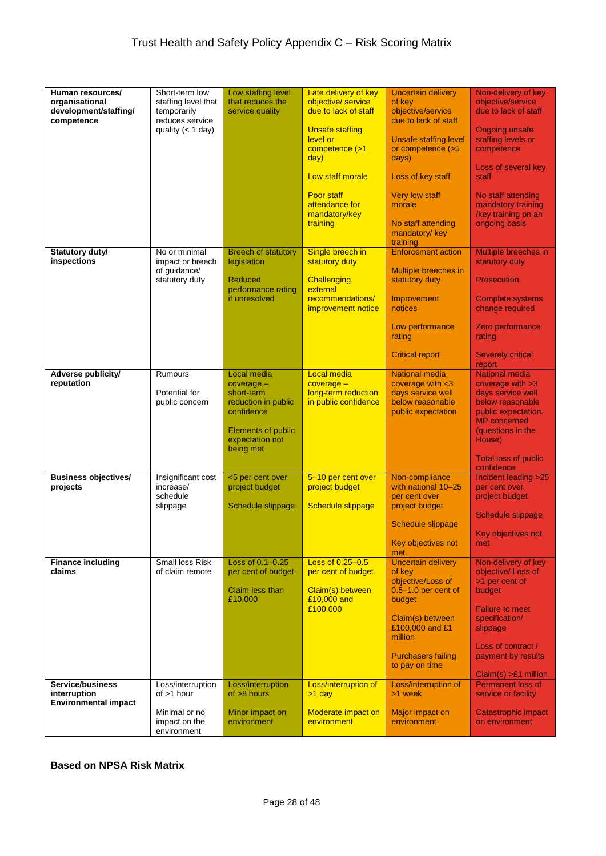| Human resources/<br>organisational<br>development/staffing/<br>competence     | Short-term low<br>staffing level that<br>temporarily<br>reduces service<br>quality $(< 1$ day) | Low staffing level<br>that reduces the<br>service quality                                                                                   | Late delivery of key<br>objective/service<br>due to lack of staff<br><b>Unsafe staffing</b><br>level or<br>competence (>1<br>day)<br>Low staff morale<br>Poor staff<br>attendance for<br>mandatory/key<br>training | <b>Uncertain delivery</b><br>of key<br>objective/service<br>due to lack of staff<br><b>Unsafe staffing level</b><br>or competence (>5<br>days)<br>Loss of key staff<br><b>Very low staff</b><br>morale<br>No staff attending<br>mandatory/ key<br>training                    | Non-delivery of key<br>objective/service<br>due to lack of staff<br><b>Ongoing unsafe</b><br>staffing levels or<br>competence<br>Loss of several key<br>staff<br>No staff attending<br>mandatory training<br>/key training on an<br>ongoing basis                |
|-------------------------------------------------------------------------------|------------------------------------------------------------------------------------------------|---------------------------------------------------------------------------------------------------------------------------------------------|--------------------------------------------------------------------------------------------------------------------------------------------------------------------------------------------------------------------|-------------------------------------------------------------------------------------------------------------------------------------------------------------------------------------------------------------------------------------------------------------------------------|------------------------------------------------------------------------------------------------------------------------------------------------------------------------------------------------------------------------------------------------------------------|
| <b>Statutory duty/</b><br>inspections                                         | No or minimal<br>impact or breech<br>of guidance/<br>statutory duty                            | <b>Breech of statutory</b><br>legislation<br>Reduced<br>performance rating<br>if unresolved                                                 | Single breech in<br>statutory duty<br>Challenging<br>external<br>recommendations/<br><b>improvement notice</b>                                                                                                     | <b>Enforcement action</b><br>Multiple breeches in<br>statutory duty<br>Improvement<br>notices<br>Low performance<br>rating<br><b>Critical report</b>                                                                                                                          | Multiple breeches in<br>statutory duty<br><b>Prosecution</b><br><b>Complete systems</b><br>change required<br>Zero performance<br>rating<br><b>Severely critical</b><br>report                                                                                   |
| Adverse publicity/<br>reputation                                              | Rumours<br>Potential for<br>public concern                                                     | Local media<br>$coverage -$<br>short-term<br>reduction in public<br>confidence<br><b>Elements of public</b><br>expectation not<br>being met | <b>Local media</b><br>$coverage -$<br>long-term reduction<br>in public confidence                                                                                                                                  | <b>National media</b><br>coverage with <3<br>days service well<br>below reasonable<br>public expectation                                                                                                                                                                      | <b>National media</b><br>coverage with $>3$<br>days service well<br>below reasonable<br>public expectation.<br><b>MP</b> concerned<br>(questions in the<br>House)<br><b>Total loss of public</b><br>confidence                                                   |
| <b>Business objectives/</b><br>projects<br><b>Finance including</b><br>claims | Insignificant cost<br>increase/<br>schedule<br>slippage<br>Small loss Risk<br>of claim remote  | <5 per cent over<br>project budget<br>Schedule slippage<br>Loss of $0.1 - 0.25$<br>per cent of budget<br>Claim less than<br>£10,000         | 5-10 per cent over<br>project budget<br><b>Schedule slippage</b><br>Loss of 0.25-0.5<br>per cent of budget<br>Claim(s) between<br>£10,000 and<br>£100,000                                                          | Non-compliance<br>with national 10-25<br>per cent over<br>project budget<br>Schedule slippage<br>Key objectives not<br>met<br><b>Uncertain delivery</b><br>of key<br>objective/Loss of<br>$0.5 - 1.0$ per cent of<br>budget<br>Claim(s) between<br>£100,000 and £1<br>million | Incident leading >25<br>per cent over<br>project budget<br>Schedule slippage<br>Key objectives not<br>met<br>Non-delivery of key<br>objective/ Loss of<br>>1 per cent of<br>budget<br><b>Failure to meet</b><br>specification/<br>slippage<br>Loss of contract / |
| Service/business<br>interruption<br><b>Environmental impact</b>               | Loss/interruption<br>of $>1$ hour<br>Minimal or no<br>impact on the<br>environment             | Loss/interruption<br>of $>8$ hours<br>Minor impact on<br>environment                                                                        | Loss/interruption of<br>$>1$ day<br>Moderate impact on<br>environment                                                                                                                                              | <b>Purchasers failing</b><br>to pay on time<br>Loss/interruption of<br>>1 week<br>Major impact on<br>environment                                                                                                                                                              | payment by results<br>$Claim(s) > £1$ million<br>Permanent loss of<br>service or facility<br>Catastrophic impact<br>on environment                                                                                                                               |

**Based on NPSA Risk Matrix**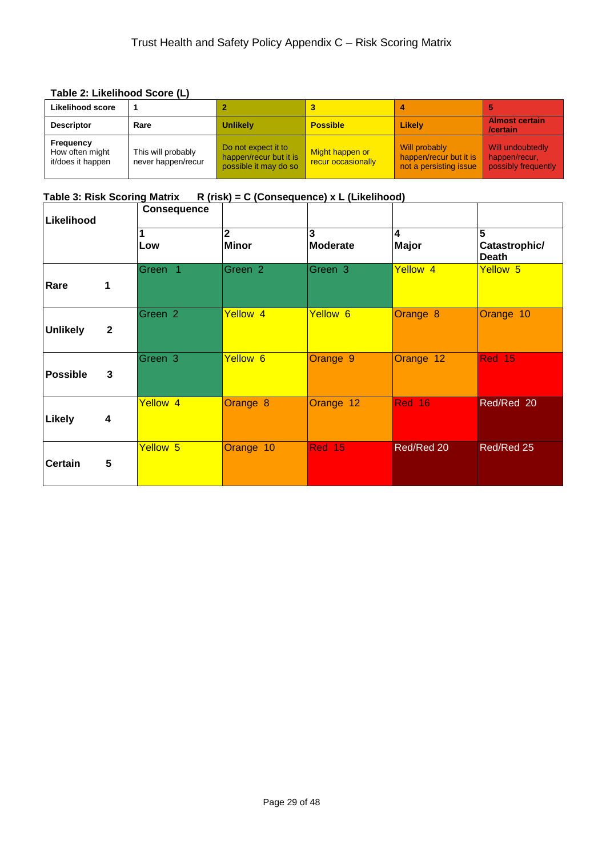#### **Table 2: Likelihood Score (L)**

| Likelihood score                                  |                                          |                                                                        |                                       |                                                                   |                                                          |
|---------------------------------------------------|------------------------------------------|------------------------------------------------------------------------|---------------------------------------|-------------------------------------------------------------------|----------------------------------------------------------|
| <b>Descriptor</b>                                 | Rare                                     | <b>Unlikely</b>                                                        | <b>Possible</b>                       | Likely                                                            | <b>Almost certain</b><br>/certain                        |
| Frequency<br>How often might<br>it/does it happen | This will probably<br>never happen/recur | Do not expect it to<br>happen/recur but it is<br>possible it may do so | Might happen or<br>recur occasionally | Will probably<br>happen/recur but it is<br>not a persisting issue | Will undoubtedly<br>happen/recur.<br>possibly frequently |

# Table 3: Risk Scoring Matrix R (risk) = C (Consequence) x L (Likelihood)

| Likelihood      |              | <b>Consequence</b>  |                                |                      |                     |                                    |
|-----------------|--------------|---------------------|--------------------------------|----------------------|---------------------|------------------------------------|
|                 |              | Low                 | $\overline{2}$<br><b>Minor</b> | 3<br><b>Moderate</b> | 4<br><b>Major</b>   | 5<br>Catastrophic/<br><b>Death</b> |
| Rare            | 1            | Green 1             | Green 2                        | Green 3              | Yellow <sub>4</sub> | Yellow 5                           |
| <b>Unlikely</b> | $\mathbf{2}$ | Green <sub>2</sub>  | Yellow 4                       | Yellow 6             | Orange 8            | Orange 10                          |
| <b>Possible</b> | 3            | Green <sub>3</sub>  | Yellow 6                       | Orange 9             | Orange 12           | <b>Red 15</b>                      |
| <b>Likely</b>   | 4            | Yellow <sub>4</sub> | Orange 8                       | Orange 12            | Red 16              | Red/Red 20                         |
| <b>Certain</b>  | 5            | Yellow 5            | Orange 10                      | Red 15               | Red/Red 20          | Red/Red 25                         |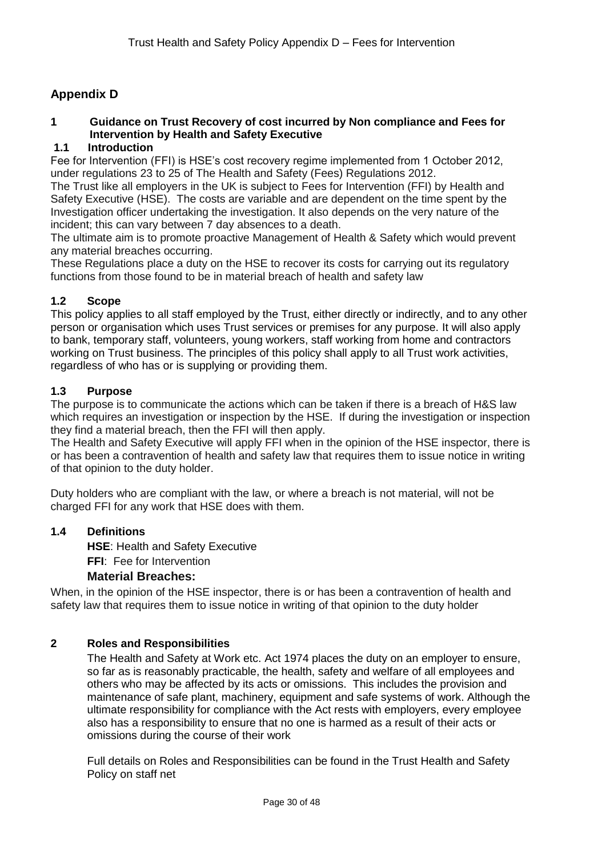# **Appendix D**

# **1 Guidance on Trust Recovery of cost incurred by Non compliance and Fees for Intervention by Health and Safety Executive**

# **1.1 Introduction**

Fee for Intervention (FFI) is HSE's cost recovery regime implemented from 1 October 2012, under regulations 23 to 25 of The Health and Safety (Fees) Regulations 2012.

The Trust like all employers in the UK is subject to Fees for Intervention (FFI) by Health and Safety Executive (HSE). The costs are variable and are dependent on the time spent by the Investigation officer undertaking the investigation. It also depends on the very nature of the incident; this can vary between 7 day absences to a death.

The ultimate aim is to promote proactive Management of Health & Safety which would prevent any material breaches occurring.

These Regulations place a duty on the HSE to recover its costs for carrying out its regulatory functions from those found to be in material breach of health and safety law

# **1.2 Scope**

This policy applies to all staff employed by the Trust, either directly or indirectly, and to any other person or organisation which uses Trust services or premises for any purpose. It will also apply to bank, temporary staff, volunteers, young workers, staff working from home and contractors working on Trust business. The principles of this policy shall apply to all Trust work activities, regardless of who has or is supplying or providing them.

# **1.3 Purpose**

The purpose is to communicate the actions which can be taken if there is a breach of H&S law which requires an investigation or inspection by the HSE. If during the investigation or inspection they find a material breach, then the FFI will then apply.

The Health and Safety Executive will apply FFI when in the opinion of the HSE inspector, there is or has been a contravention of health and safety law that requires them to issue notice in writing of that opinion to the duty holder.

Duty holders who are compliant with the law, or where a breach is not material, will not be charged FFI for any work that HSE does with them.

#### **1.4 Definitions**

**HSE**: Health and Safety Executive

**FFI**: Fee for Intervention

#### **Material Breaches:**

When, in the opinion of the HSE inspector, there is or has been a contravention of health and safety law that requires them to issue notice in writing of that opinion to the duty holder

#### **2 Roles and Responsibilities**

The Health and Safety at Work etc. Act 1974 places the duty on an employer to ensure, so far as is reasonably practicable, the health, safety and welfare of all employees and others who may be affected by its acts or omissions. This includes the provision and maintenance of safe plant, machinery, equipment and safe systems of work. Although the ultimate responsibility for compliance with the Act rests with employers, every employee also has a responsibility to ensure that no one is harmed as a result of their acts or omissions during the course of their work

Full details on Roles and Responsibilities can be found in the Trust Health and Safety Policy on staff net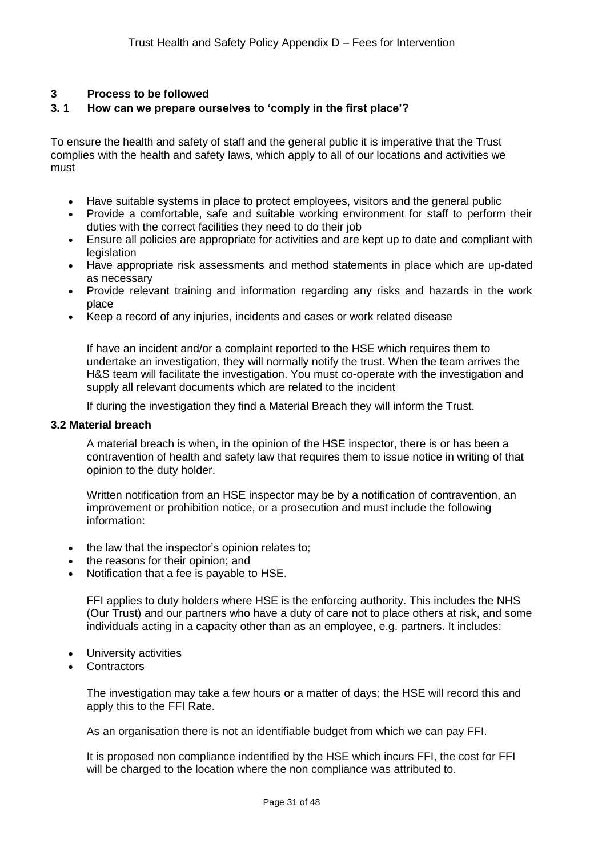#### **3 Process to be followed**

### **3. 1 How can we prepare ourselves to 'comply in the first place'?**

To ensure the health and safety of staff and the general public it is imperative that the Trust complies with the health and safety laws, which apply to all of our locations and activities we must

- Have suitable systems in place to protect employees, visitors and the general public
- Provide a comfortable, safe and suitable working environment for staff to perform their duties with the correct facilities they need to do their job
- Ensure all policies are appropriate for activities and are kept up to date and compliant with legislation
- Have appropriate risk assessments and method statements in place which are up-dated as necessary
- Provide relevant training and information regarding any risks and hazards in the work place
- Keep a record of any injuries, incidents and cases or work related disease

If have an incident and/or a complaint reported to the HSE which requires them to undertake an investigation, they will normally notify the trust. When the team arrives the H&S team will facilitate the investigation. You must co-operate with the investigation and supply all relevant documents which are related to the incident

If during the investigation they find a Material Breach they will inform the Trust.

#### **3.2 Material breach**

A material breach is when, in the opinion of the HSE inspector, there is or has been a contravention of health and safety law that requires them to issue notice in writing of that opinion to the duty holder.

Written notification from an HSE inspector may be by a notification of contravention, an improvement or prohibition notice, or a prosecution and must include the following information:

- the law that the inspector's opinion relates to;
- the reasons for their opinion; and
- Notification that a fee is payable to HSE.

FFI applies to duty holders where HSE is the enforcing authority. This includes the NHS (Our Trust) and our partners who have a duty of care not to place others at risk, and some individuals acting in a capacity other than as an employee, e.g. partners. It includes:

- University activities
- **Contractors**

The investigation may take a few hours or a matter of days; the HSE will record this and apply this to the FFI Rate.

As an organisation there is not an identifiable budget from which we can pay FFI.

It is proposed non compliance indentified by the HSE which incurs FFI, the cost for FFI will be charged to the location where the non compliance was attributed to.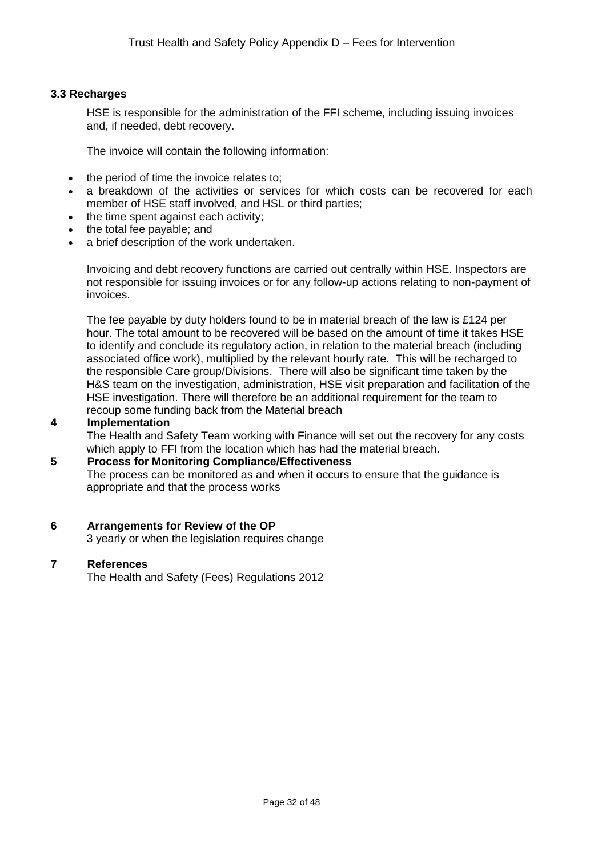#### **3.3 Recharges**

HSE is responsible for the administration of the FFI scheme, including issuing invoices and, if needed, debt recovery.

The invoice will contain the following information:

- the period of time the invoice relates to;
- a breakdown of the activities or services for which costs can be recovered for each member of HSE staff involved, and HSL or third parties;
- the time spent against each activity;
- the total fee payable; and
- a brief description of the work undertaken.

Invoicing and debt recovery functions are carried out centrally within HSE. Inspectors are not responsible for issuing invoices or for any follow-up actions relating to non-payment of invoices.

The fee payable by duty holders found to be in material breach of the law is £124 per hour. The total amount to be recovered will be based on the amount of time it takes HSE to identify and conclude its regulatory action, in relation to the material breach (including associated office work), multiplied by the relevant hourly rate. This will be recharged to the responsible Care group/Divisions. There will also be significant time taken by the H&S team on the investigation, administration, HSE visit preparation and facilitation of the HSE investigation. There will therefore be an additional requirement for the team to recoup some funding back from the Material breach

#### **4 Implementation**

The Health and Safety Team working with Finance will set out the recovery for any costs which apply to FFI from the location which has had the material breach.

#### **5 Process for Monitoring Compliance/Effectiveness**

The process can be monitored as and when it occurs to ensure that the guidance is appropriate and that the process works

#### **6 Arrangements for Review of the OP**

3 yearly or when the legislation requires change

#### **7 References**

The Health and Safety (Fees) Regulations 2012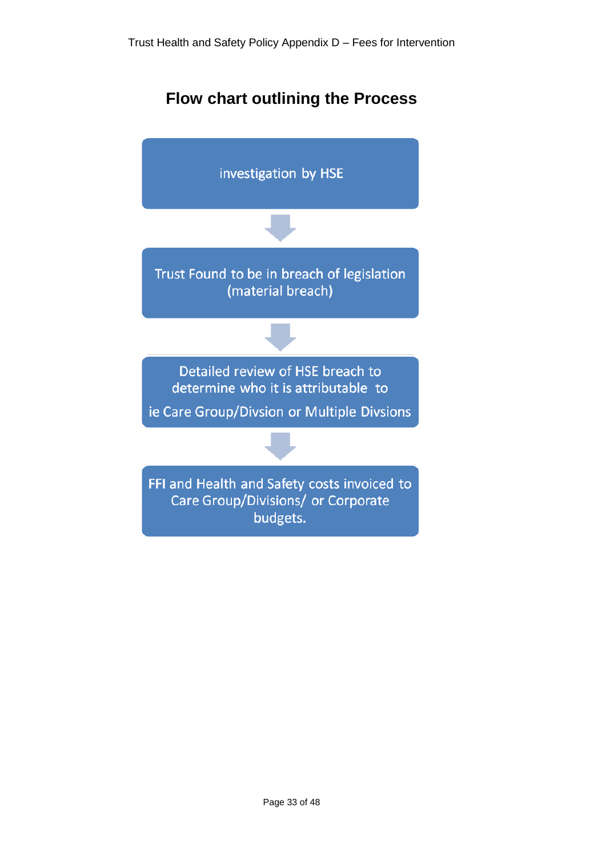# **Flow chart outlining the Process**

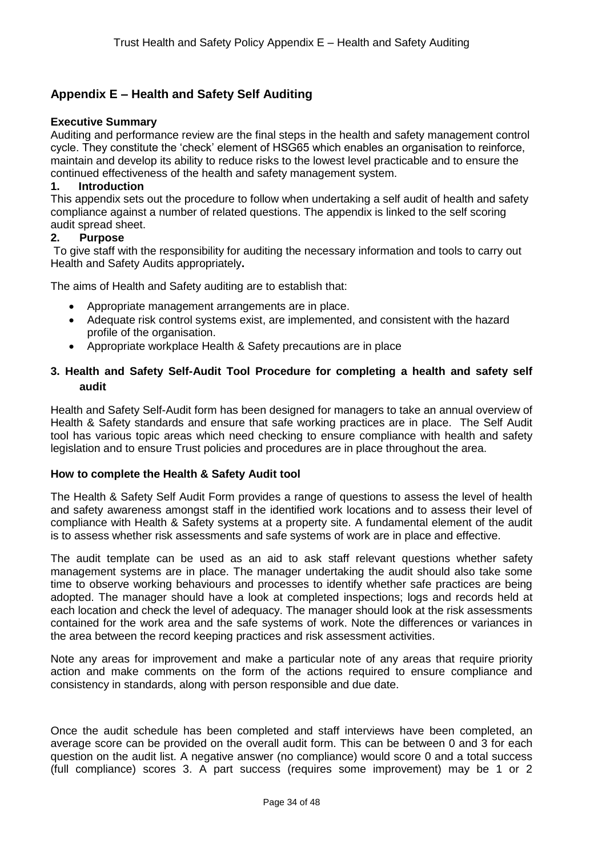# **Appendix E – Health and Safety Self Auditing**

#### **Executive Summary**

Auditing and performance review are the final steps in the health and safety management control cycle. They constitute the 'check' element of HSG65 which enables an organisation to reinforce, maintain and develop its ability to reduce risks to the lowest level practicable and to ensure the continued effectiveness of the health and safety management system.

#### **1. Introduction**

This appendix sets out the procedure to follow when undertaking a self audit of health and safety compliance against a number of related questions. The appendix is linked to the self scoring audit spread sheet.

#### **2. Purpose**

To give staff with the responsibility for auditing the necessary information and tools to carry out Health and Safety Audits appropriately**.**

The aims of Health and Safety auditing are to establish that:

- Appropriate management arrangements are in place.
- Adequate risk control systems exist, are implemented, and consistent with the hazard profile of the organisation.
- Appropriate workplace Health & Safety precautions are in place

### **3. Health and Safety Self-Audit Tool Procedure for completing a health and safety self audit**

Health and Safety Self-Audit form has been designed for managers to take an annual overview of Health & Safety standards and ensure that safe working practices are in place. The Self Audit tool has various topic areas which need checking to ensure compliance with health and safety legislation and to ensure Trust policies and procedures are in place throughout the area.

#### **How to complete the Health & Safety Audit tool**

The Health & Safety Self Audit Form provides a range of questions to assess the level of health and safety awareness amongst staff in the identified work locations and to assess their level of compliance with Health & Safety systems at a property site. A fundamental element of the audit is to assess whether risk assessments and safe systems of work are in place and effective.

The audit template can be used as an aid to ask staff relevant questions whether safety management systems are in place. The manager undertaking the audit should also take some time to observe working behaviours and processes to identify whether safe practices are being adopted. The manager should have a look at completed inspections; logs and records held at each location and check the level of adequacy. The manager should look at the risk assessments contained for the work area and the safe systems of work. Note the differences or variances in the area between the record keeping practices and risk assessment activities.

Note any areas for improvement and make a particular note of any areas that require priority action and make comments on the form of the actions required to ensure compliance and consistency in standards, along with person responsible and due date.

Once the audit schedule has been completed and staff interviews have been completed, an average score can be provided on the overall audit form. This can be between 0 and 3 for each question on the audit list. A negative answer (no compliance) would score 0 and a total success (full compliance) scores 3. A part success (requires some improvement) may be 1 or 2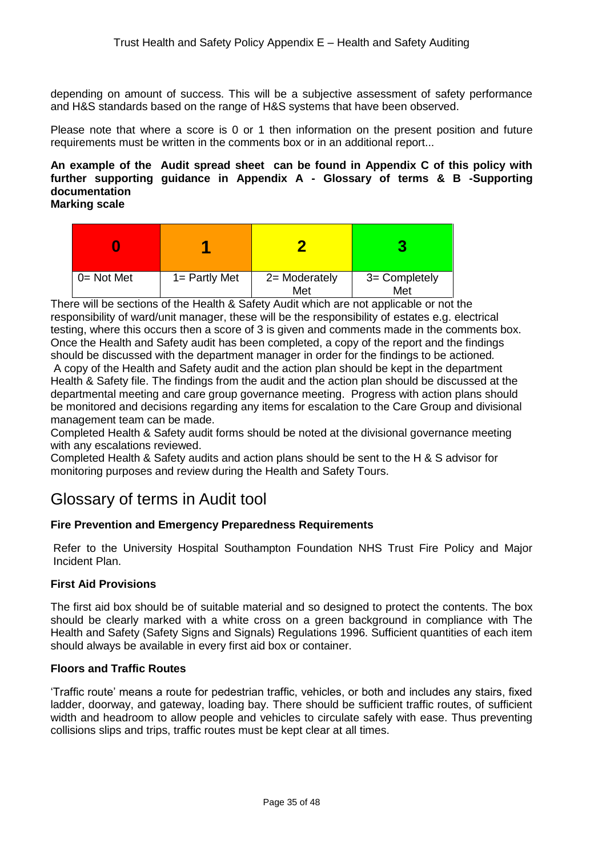depending on amount of success. This will be a subjective assessment of safety performance and H&S standards based on the range of H&S systems that have been observed.

Please note that where a score is 0 or 1 then information on the present position and future requirements must be written in the comments box or in an additional report...

#### **An example of the Audit spread sheet can be found in Appendix C of this policy with further supporting guidance in Appendix A - Glossary of terms & B -Supporting documentation Marking scale**

| $0 = Not Met$ | $1 =$ Partly Met | 2= Moderately<br>Met | 3= Completely<br>Met |
|---------------|------------------|----------------------|----------------------|

There will be sections of the Health & Safety Audit which are not applicable or not the responsibility of ward/unit manager, these will be the responsibility of estates e.g. electrical testing, where this occurs then a score of 3 is given and comments made in the comments box. Once the Health and Safety audit has been completed, a copy of the report and the findings should be discussed with the department manager in order for the findings to be actioned*.*

A copy of the Health and Safety audit and the action plan should be kept in the department Health & Safety file. The findings from the audit and the action plan should be discussed at the departmental meeting and care group governance meeting. Progress with action plans should be monitored and decisions regarding any items for escalation to the Care Group and divisional management team can be made.

Completed Health & Safety audit forms should be noted at the divisional governance meeting with any escalations reviewed.

Completed Health & Safety audits and action plans should be sent to the H & S advisor for monitoring purposes and review during the Health and Safety Tours.

# Glossary of terms in Audit tool

# **Fire Prevention and Emergency Preparedness Requirements**

Refer to the University Hospital Southampton Foundation NHS Trust Fire Policy and Major Incident Plan.

# **First Aid Provisions**

The first aid box should be of suitable material and so designed to protect the contents. The box should be clearly marked with a white cross on a green background in compliance with The Health and Safety (Safety Signs and Signals) Regulations 1996. Sufficient quantities of each item should always be available in every first aid box or container.

#### **Floors and Traffic Routes**

'Traffic route' means a route for pedestrian traffic, vehicles, or both and includes any stairs, fixed ladder, doorway, and gateway, loading bay. There should be sufficient traffic routes, of sufficient width and headroom to allow people and vehicles to circulate safely with ease. Thus preventing collisions slips and trips, traffic routes must be kept clear at all times.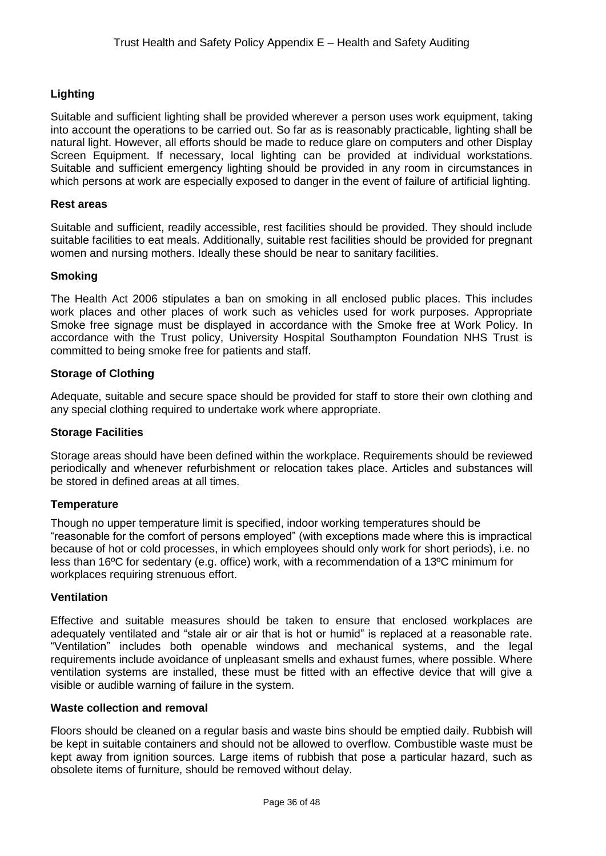# **Lighting**

Suitable and sufficient lighting shall be provided wherever a person uses work equipment, taking into account the operations to be carried out. So far as is reasonably practicable, lighting shall be natural light. However, all efforts should be made to reduce glare on computers and other Display Screen Equipment. If necessary, local lighting can be provided at individual workstations. Suitable and sufficient emergency lighting should be provided in any room in circumstances in which persons at work are especially exposed to danger in the event of failure of artificial lighting.

#### **Rest areas**

Suitable and sufficient, readily accessible, rest facilities should be provided. They should include suitable facilities to eat meals. Additionally, suitable rest facilities should be provided for pregnant women and nursing mothers. Ideally these should be near to sanitary facilities.

#### **Smoking**

The Health Act 2006 stipulates a ban on smoking in all enclosed public places. This includes work places and other places of work such as vehicles used for work purposes. Appropriate Smoke free signage must be displayed in accordance with the Smoke free at Work Policy. In accordance with the Trust policy, University Hospital Southampton Foundation NHS Trust is committed to being smoke free for patients and staff.

#### **Storage of Clothing**

Adequate, suitable and secure space should be provided for staff to store their own clothing and any special clothing required to undertake work where appropriate.

#### **Storage Facilities**

Storage areas should have been defined within the workplace. Requirements should be reviewed periodically and whenever refurbishment or relocation takes place. Articles and substances will be stored in defined areas at all times.

#### **Temperature**

Though no upper temperature limit is specified, indoor working temperatures should be "reasonable for the comfort of persons employed" (with exceptions made where this is impractical because of hot or cold processes, in which employees should only work for short periods), i.e. no less than 16ºC for sedentary (e.g. office) work, with a recommendation of a 13ºC minimum for workplaces requiring strenuous effort.

#### **Ventilation**

Effective and suitable measures should be taken to ensure that enclosed workplaces are adequately ventilated and "stale air or air that is hot or humid" is replaced at a reasonable rate. "Ventilation" includes both openable windows and mechanical systems, and the legal requirements include avoidance of unpleasant smells and exhaust fumes, where possible. Where ventilation systems are installed, these must be fitted with an effective device that will give a visible or audible warning of failure in the system.

#### **Waste collection and removal**

Floors should be cleaned on a regular basis and waste bins should be emptied daily. Rubbish will be kept in suitable containers and should not be allowed to overflow. Combustible waste must be kept away from ignition sources. Large items of rubbish that pose a particular hazard, such as obsolete items of furniture, should be removed without delay.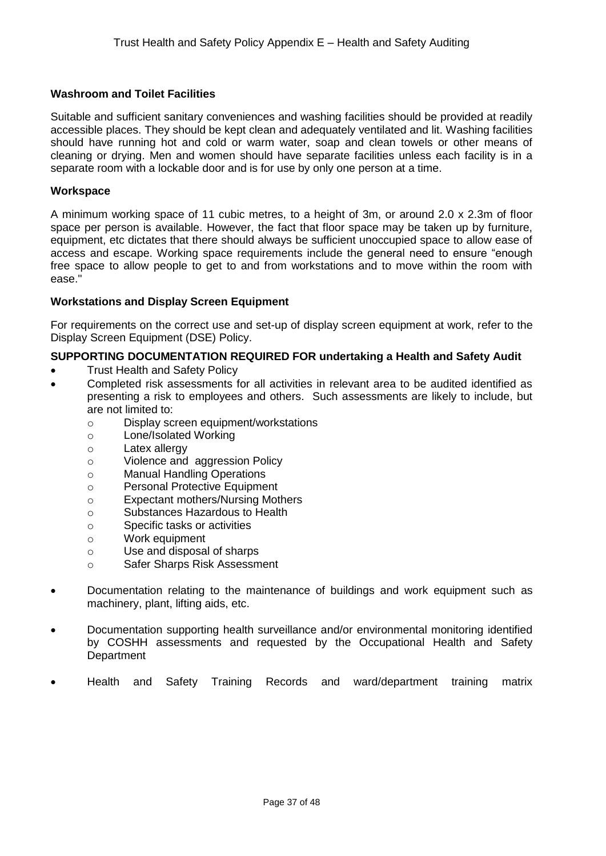#### **Washroom and Toilet Facilities**

Suitable and sufficient sanitary conveniences and washing facilities should be provided at readily accessible places. They should be kept clean and adequately ventilated and lit. Washing facilities should have running hot and cold or warm water, soap and clean towels or other means of cleaning or drying. Men and women should have separate facilities unless each facility is in a separate room with a lockable door and is for use by only one person at a time.

#### **Workspace**

A minimum working space of 11 cubic metres, to a height of 3m, or around 2.0 x 2.3m of floor space per person is available. However, the fact that floor space may be taken up by furniture, equipment, etc dictates that there should always be sufficient unoccupied space to allow ease of access and escape. Working space requirements include the general need to ensure "enough free space to allow people to get to and from workstations and to move within the room with ease."

#### **Workstations and Display Screen Equipment**

For requirements on the correct use and set-up of display screen equipment at work, refer to the Display Screen Equipment (DSE) Policy.

#### **SUPPORTING DOCUMENTATION REQUIRED FOR undertaking a Health and Safety Audit**

- Trust Health and Safety Policy
- Completed risk assessments for all activities in relevant area to be audited identified as presenting a risk to employees and others. Such assessments are likely to include, but are not limited to:
	- o Display screen equipment/workstations
	- o Lone/Isolated Working
	- o Latex allergy
	- o Violence and aggression Policy
	- o Manual Handling Operations
	- o Personal Protective Equipment
	- o Expectant mothers/Nursing Mothers
	- o Substances Hazardous to Health
	- o Specific tasks or activities
	- o Work equipment
	- o Use and disposal of sharps
	- o Safer Sharps Risk Assessment
- Documentation relating to the maintenance of buildings and work equipment such as machinery, plant, lifting aids, etc.
- Documentation supporting health surveillance and/or environmental monitoring identified by COSHH assessments and requested by the Occupational Health and Safety **Department**
- Health and Safety Training Records and ward/department training matrix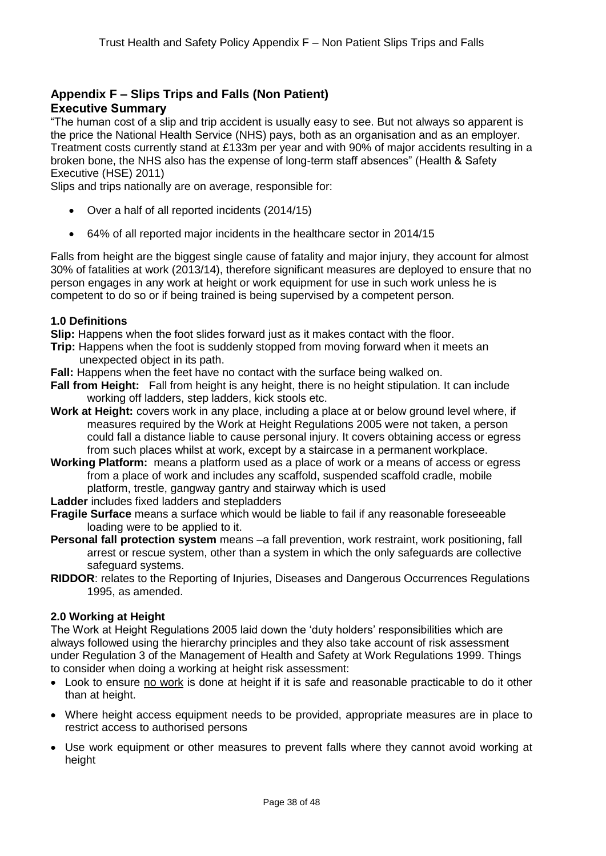# **Appendix F – Slips Trips and Falls (Non Patient) Executive Summary**

"The human cost of a slip and trip accident is usually easy to see. But not always so apparent is the price the National Health Service (NHS) pays, both as an organisation and as an employer. Treatment costs currently stand at £133m per year and with 90% of major accidents resulting in a broken bone, the NHS also has the expense of long-term staff absences" (Health & Safety Executive (HSE) 2011)

Slips and trips nationally are on average, responsible for:

- Over a half of all reported incidents (2014/15)
- 64% of all reported major incidents in the healthcare sector in 2014/15

Falls from height are the biggest single cause of fatality and major injury, they account for almost 30% of fatalities at work (2013/14), therefore significant measures are deployed to ensure that no person engages in any work at height or work equipment for use in such work unless he is competent to do so or if being trained is being supervised by a competent person.

#### **1.0 Definitions**

**Slip:** Happens when the foot slides forward just as it makes contact with the floor.

- **Trip:** Happens when the foot is suddenly stopped from moving forward when it meets an unexpected object in its path.
- **Fall:** Happens when the feet have no contact with the surface being walked on.
- **Fall from Height:** Fall from height is any height, there is no height stipulation. It can include working off ladders, step ladders, kick stools etc.
- **Work at Height:** covers work in any place, including a place at or below ground level where, if measures required by the Work at Height Regulations 2005 were not taken, a person could fall a distance liable to cause personal injury. It covers obtaining access or egress from such places whilst at work, except by a staircase in a permanent workplace.
- **Working Platform:** means a platform used as a place of work or a means of access or egress from a place of work and includes any scaffold, suspended scaffold cradle, mobile platform, trestle, gangway gantry and stairway which is used
- **Ladder** includes fixed ladders and stepladders
- **Fragile Surface** means a surface which would be liable to fail if any reasonable foreseeable loading were to be applied to it.
- **Personal fall protection system** means –a fall prevention, work restraint, work positioning, fall arrest or rescue system, other than a system in which the only safeguards are collective safeguard systems.
- **RIDDOR**: relates to the Reporting of Injuries, Diseases and Dangerous Occurrences Regulations 1995, as amended.

#### **2.0 Working at Height**

The Work at Height Regulations 2005 laid down the 'duty holders' responsibilities which are always followed using the hierarchy principles and they also take account of risk assessment under Regulation 3 of the Management of Health and Safety at Work Regulations 1999. Things to consider when doing a working at height risk assessment:

- Look to ensure no work is done at height if it is safe and reasonable practicable to do it other than at height.
- Where height access equipment needs to be provided, appropriate measures are in place to restrict access to authorised persons
- Use work equipment or other measures to prevent falls where they cannot avoid working at height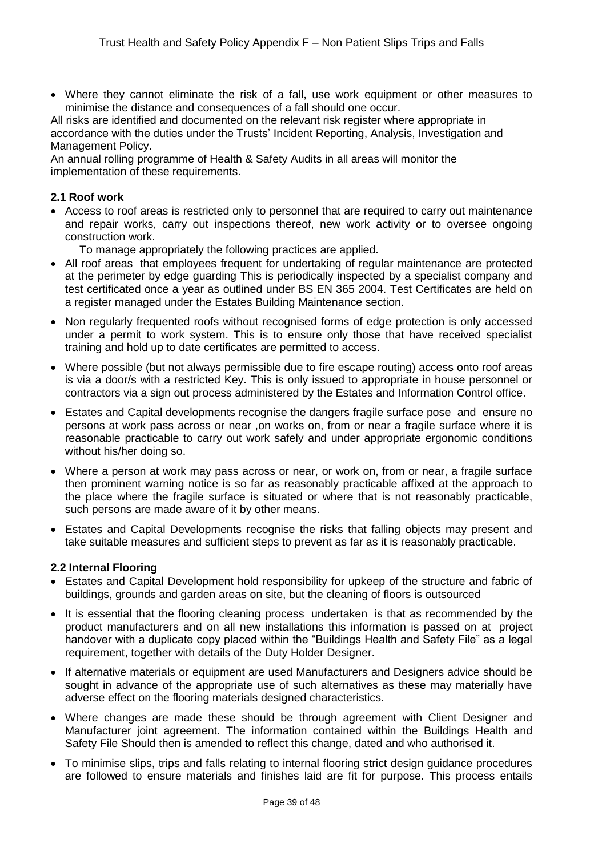Where they cannot eliminate the risk of a fall, use work equipment or other measures to minimise the distance and consequences of a fall should one occur.

All risks are identified and documented on the relevant risk register where appropriate in accordance with the duties under the Trusts' Incident Reporting, Analysis, Investigation and Management Policy.

An annual rolling programme of Health & Safety Audits in all areas will monitor the implementation of these requirements.

#### **2.1 Roof work**

- Access to roof areas is restricted only to personnel that are required to carry out maintenance and repair works, carry out inspections thereof, new work activity or to oversee ongoing construction work.
	- To manage appropriately the following practices are applied.
- All roof areas that employees frequent for undertaking of regular maintenance are protected at the perimeter by edge guarding This is periodically inspected by a specialist company and test certificated once a year as outlined under BS EN 365 2004. Test Certificates are held on a register managed under the Estates Building Maintenance section.
- Non regularly frequented roofs without recognised forms of edge protection is only accessed under a permit to work system. This is to ensure only those that have received specialist training and hold up to date certificates are permitted to access.
- Where possible (but not always permissible due to fire escape routing) access onto roof areas is via a door/s with a restricted Key. This is only issued to appropriate in house personnel or contractors via a sign out process administered by the Estates and Information Control office.
- Estates and Capital developments recognise the dangers fragile surface pose and ensure no persons at work pass across or near ,on works on, from or near a fragile surface where it is reasonable practicable to carry out work safely and under appropriate ergonomic conditions without his/her doing so.
- Where a person at work may pass across or near, or work on, from or near, a fragile surface then prominent warning notice is so far as reasonably practicable affixed at the approach to the place where the fragile surface is situated or where that is not reasonably practicable, such persons are made aware of it by other means.
- Estates and Capital Developments recognise the risks that falling objects may present and take suitable measures and sufficient steps to prevent as far as it is reasonably practicable.

#### **2.2 Internal Flooring**

- Estates and Capital Development hold responsibility for upkeep of the structure and fabric of buildings, grounds and garden areas on site, but the cleaning of floors is outsourced
- It is essential that the flooring cleaning process undertaken is that as recommended by the product manufacturers and on all new installations this information is passed on at project handover with a duplicate copy placed within the "Buildings Health and Safety File" as a legal requirement, together with details of the Duty Holder Designer.
- If alternative materials or equipment are used Manufacturers and Designers advice should be sought in advance of the appropriate use of such alternatives as these may materially have adverse effect on the flooring materials designed characteristics.
- Where changes are made these should be through agreement with Client Designer and Manufacturer joint agreement. The information contained within the Buildings Health and Safety File Should then is amended to reflect this change, dated and who authorised it.
- To minimise slips, trips and falls relating to internal flooring strict design guidance procedures are followed to ensure materials and finishes laid are fit for purpose. This process entails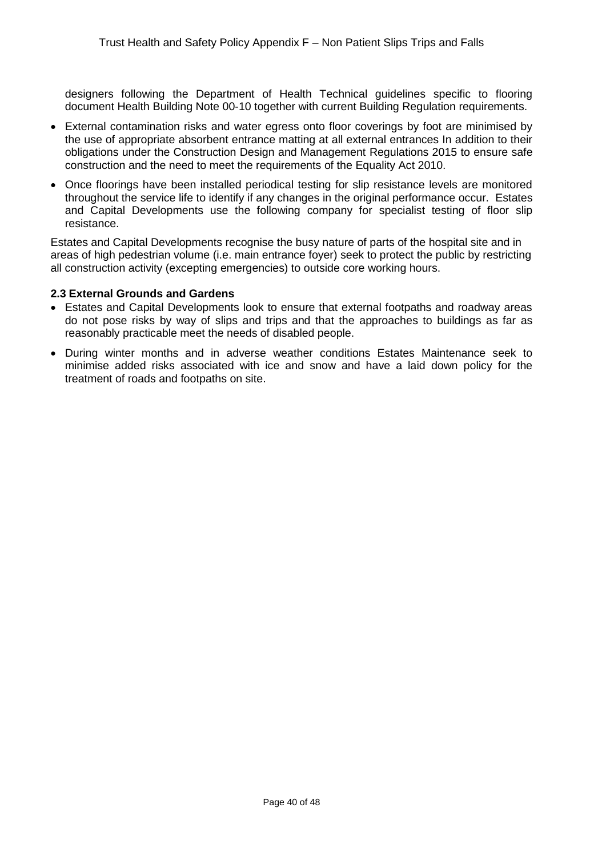designers following the Department of Health Technical guidelines specific to flooring document Health Building Note 00-10 together with current Building Regulation requirements.

- External contamination risks and water egress onto floor coverings by foot are minimised by the use of appropriate absorbent entrance matting at all external entrances In addition to their obligations under the Construction Design and Management Regulations 2015 to ensure safe construction and the need to meet the requirements of the Equality Act 2010.
- Once floorings have been installed periodical testing for slip resistance levels are monitored throughout the service life to identify if any changes in the original performance occur. Estates and Capital Developments use the following company for specialist testing of floor slip resistance.

Estates and Capital Developments recognise the busy nature of parts of the hospital site and in areas of high pedestrian volume (i.e. main entrance foyer) seek to protect the public by restricting all construction activity (excepting emergencies) to outside core working hours.

#### **2.3 External Grounds and Gardens**

- Estates and Capital Developments look to ensure that external footpaths and roadway areas do not pose risks by way of slips and trips and that the approaches to buildings as far as reasonably practicable meet the needs of disabled people.
- During winter months and in adverse weather conditions Estates Maintenance seek to minimise added risks associated with ice and snow and have a laid down policy for the treatment of roads and footpaths on site.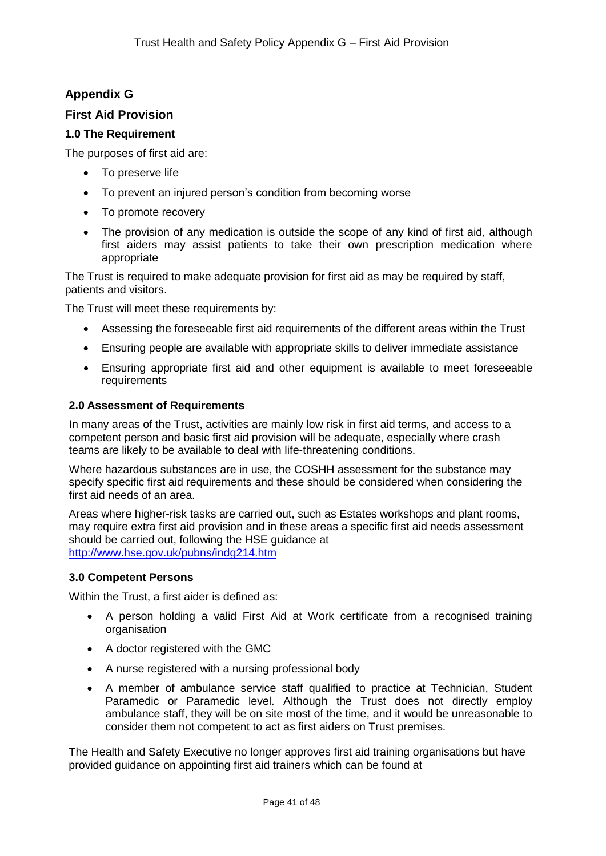# **Appendix G**

# **First Aid Provision**

# **1.0 The Requirement**

The purposes of first aid are:

- To preserve life
- To prevent an injured person's condition from becoming worse
- To promote recovery
- The provision of any medication is outside the scope of any kind of first aid, although first aiders may assist patients to take their own prescription medication where appropriate

The Trust is required to make adequate provision for first aid as may be required by staff, patients and visitors.

The Trust will meet these requirements by:

- Assessing the foreseeable first aid requirements of the different areas within the Trust
- Ensuring people are available with appropriate skills to deliver immediate assistance
- Ensuring appropriate first aid and other equipment is available to meet foreseeable requirements

#### **2.0 Assessment of Requirements**

In many areas of the Trust, activities are mainly low risk in first aid terms, and access to a competent person and basic first aid provision will be adequate, especially where crash teams are likely to be available to deal with life-threatening conditions.

Where hazardous substances are in use, the COSHH assessment for the substance may specify specific first aid requirements and these should be considered when considering the first aid needs of an area.

Areas where higher-risk tasks are carried out, such as Estates workshops and plant rooms, may require extra first aid provision and in these areas a specific first aid needs assessment should be carried out, following the HSE guidance at <http://www.hse.gov.uk/pubns/indg214.htm>

#### **3.0 Competent Persons**

Within the Trust, a first aider is defined as:

- A person holding a valid First Aid at Work certificate from a recognised training organisation
- A doctor registered with the GMC
- A nurse registered with a nursing professional body
- A member of ambulance service staff qualified to practice at Technician, Student Paramedic or Paramedic level. Although the Trust does not directly employ ambulance staff, they will be on site most of the time, and it would be unreasonable to consider them not competent to act as first aiders on Trust premises.

The Health and Safety Executive no longer approves first aid training organisations but have provided guidance on appointing first aid trainers which can be found at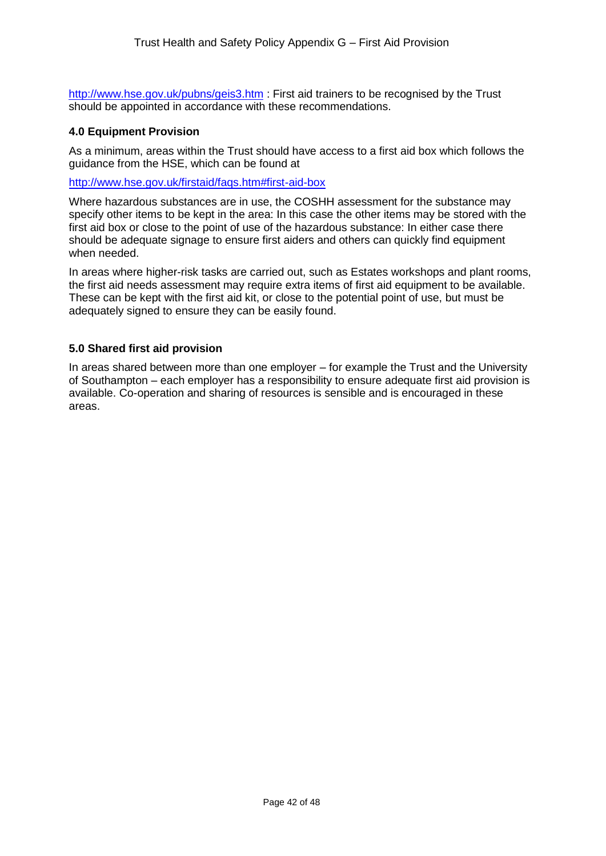<http://www.hse.gov.uk/pubns/geis3.htm> : First aid trainers to be recognised by the Trust should be appointed in accordance with these recommendations.

#### **4.0 Equipment Provision**

As a minimum, areas within the Trust should have access to a first aid box which follows the guidance from the HSE, which can be found at

<http://www.hse.gov.uk/firstaid/faqs.htm#first-aid-box>

Where hazardous substances are in use, the COSHH assessment for the substance may specify other items to be kept in the area: In this case the other items may be stored with the first aid box or close to the point of use of the hazardous substance: In either case there should be adequate signage to ensure first aiders and others can quickly find equipment when needed.

In areas where higher-risk tasks are carried out, such as Estates workshops and plant rooms, the first aid needs assessment may require extra items of first aid equipment to be available. These can be kept with the first aid kit, or close to the potential point of use, but must be adequately signed to ensure they can be easily found.

#### **5.0 Shared first aid provision**

In areas shared between more than one employer – for example the Trust and the University of Southampton – each employer has a responsibility to ensure adequate first aid provision is available. Co-operation and sharing of resources is sensible and is encouraged in these areas.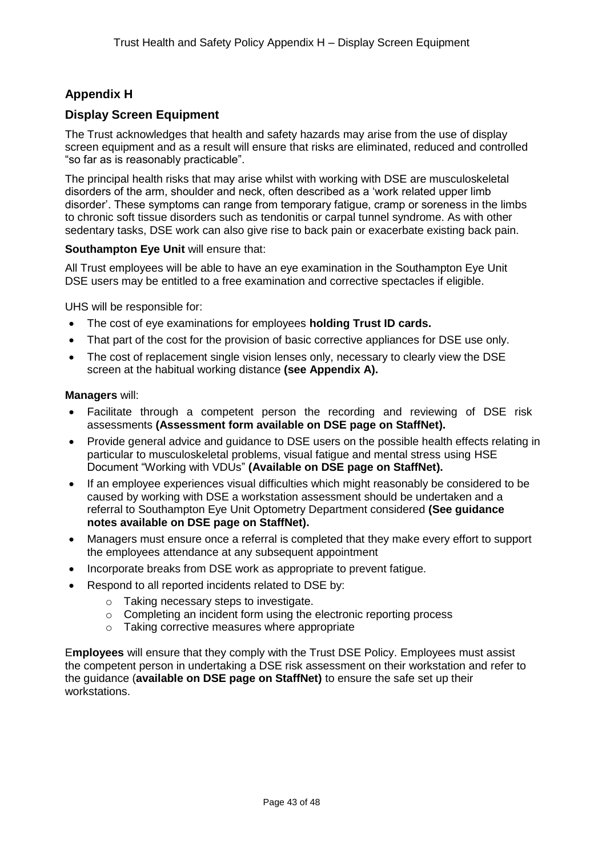# **Appendix H**

# **Display Screen Equipment**

The Trust acknowledges that health and safety hazards may arise from the use of display screen equipment and as a result will ensure that risks are eliminated, reduced and controlled "so far as is reasonably practicable".

The principal health risks that may arise whilst with working with DSE are musculoskeletal disorders of the arm, shoulder and neck, often described as a 'work related upper limb disorder'. These symptoms can range from temporary fatigue, cramp or soreness in the limbs to chronic soft tissue disorders such as tendonitis or carpal tunnel syndrome. As with other sedentary tasks, DSE work can also give rise to back pain or exacerbate existing back pain.

#### **Southampton Eye Unit** will ensure that:

All Trust employees will be able to have an eye examination in the Southampton Eye Unit DSE users may be entitled to a free examination and corrective spectacles if eligible.

UHS will be responsible for:

- The cost of eye examinations for employees **holding Trust ID cards.**
- That part of the cost for the provision of basic corrective appliances for DSE use only.
- The cost of replacement single vision lenses only, necessary to clearly view the DSE screen at the habitual working distance **(see Appendix A).**

#### **Managers** will:

- Facilitate through a competent person the recording and reviewing of DSE risk assessments **(Assessment form available on DSE page on StaffNet).**
- Provide general advice and guidance to DSE users on the possible health effects relating in particular to musculoskeletal problems, visual fatigue and mental stress using HSE Document "Working with VDUs" **(Available on DSE page on StaffNet).**
- If an employee experiences visual difficulties which might reasonably be considered to be caused by working with DSE a workstation assessment should be undertaken and a referral to Southampton Eye Unit Optometry Department considered **(See guidance notes available on DSE page on StaffNet).**
- Managers must ensure once a referral is completed that they make every effort to support the employees attendance at any subsequent appointment
- Incorporate breaks from DSE work as appropriate to prevent fatigue.
	- Respond to all reported incidents related to DSE by:
		- o Taking necessary steps to investigate.
		- o Completing an incident form using the electronic reporting process
		- o Taking corrective measures where appropriate

E**mployees** will ensure that they comply with the Trust DSE Policy. Employees must assist the competent person in undertaking a DSE risk assessment on their workstation and refer to the guidance (**available on DSE page on StaffNet)** to ensure the safe set up their workstations.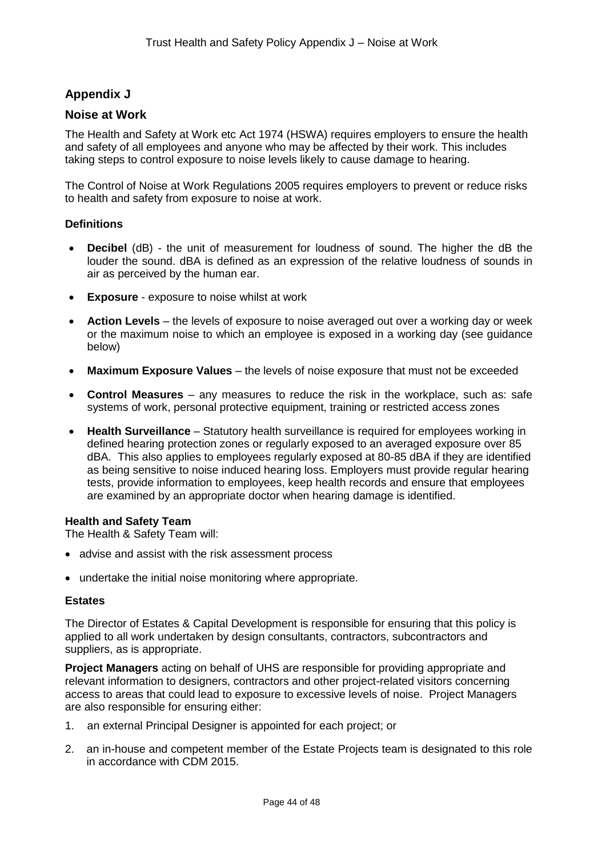# **Appendix J**

# **Noise at Work**

The Health and Safety at Work etc Act 1974 (HSWA) requires employers to ensure the health and safety of all employees and anyone who may be affected by their work. This includes taking steps to control exposure to noise levels likely to cause damage to hearing.

The Control of Noise at Work Regulations 2005 requires employers to prevent or reduce risks to health and safety from exposure to noise at work.

#### **Definitions**

- **Decibel** (dB) the unit of measurement for loudness of sound. The higher the dB the louder the sound. dBA is defined as an expression of the relative loudness of sounds in air as perceived by the human ear.
- **Exposure** exposure to noise whilst at work
- **Action Levels** the levels of exposure to noise averaged out over a working day or week or the maximum noise to which an employee is exposed in a working day (see guidance below)
- **Maximum Exposure Values** the levels of noise exposure that must not be exceeded
- **Control Measures**  any measures to reduce the risk in the workplace, such as: safe systems of work, personal protective equipment, training or restricted access zones
- **Health Surveillance** Statutory health surveillance is required for employees working in defined hearing protection zones or regularly exposed to an averaged exposure over 85 dBA. This also applies to employees regularly exposed at 80-85 dBA if they are identified as being sensitive to noise induced hearing loss. Employers must provide regular hearing tests, provide information to employees, keep health records and ensure that employees are examined by an appropriate doctor when hearing damage is identified.

#### **Health and Safety Team**

The Health & Safety Team will:

- advise and assist with the risk assessment process
- undertake the initial noise monitoring where appropriate.

#### **Estates**

The Director of Estates & Capital Development is responsible for ensuring that this policy is applied to all work undertaken by design consultants, contractors, subcontractors and suppliers, as is appropriate.

**Project Managers** acting on behalf of UHS are responsible for providing appropriate and relevant information to designers, contractors and other project-related visitors concerning access to areas that could lead to exposure to excessive levels of noise. Project Managers are also responsible for ensuring either:

- 1. an external Principal Designer is appointed for each project; or
- 2. an in-house and competent member of the Estate Projects team is designated to this role in accordance with CDM 2015.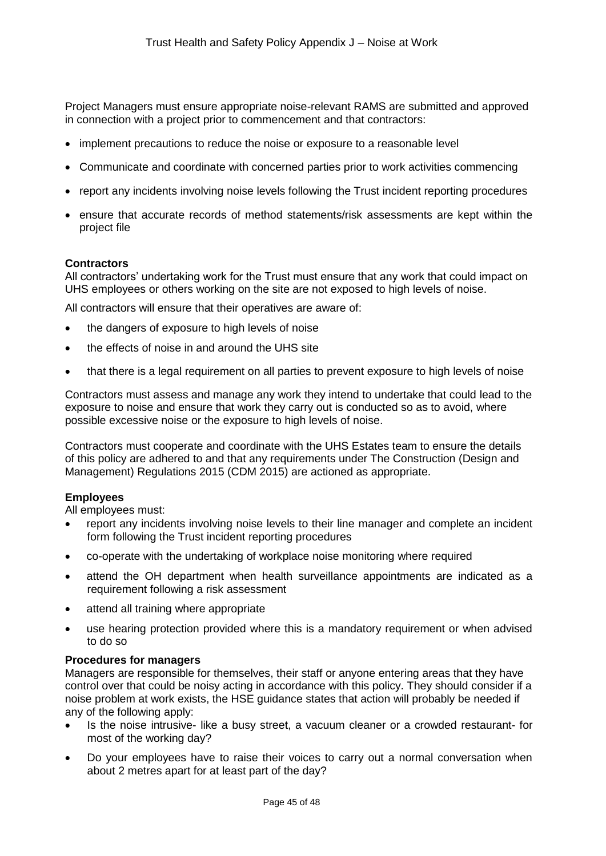Project Managers must ensure appropriate noise-relevant RAMS are submitted and approved in connection with a project prior to commencement and that contractors:

- implement precautions to reduce the noise or exposure to a reasonable level
- Communicate and coordinate with concerned parties prior to work activities commencing
- report any incidents involving noise levels following the Trust incident reporting procedures
- ensure that accurate records of method statements/risk assessments are kept within the project file

#### **Contractors**

All contractors' undertaking work for the Trust must ensure that any work that could impact on UHS employees or others working on the site are not exposed to high levels of noise.

All contractors will ensure that their operatives are aware of:

- the dangers of exposure to high levels of noise
- the effects of noise in and around the UHS site
- that there is a legal requirement on all parties to prevent exposure to high levels of noise

Contractors must assess and manage any work they intend to undertake that could lead to the exposure to noise and ensure that work they carry out is conducted so as to avoid, where possible excessive noise or the exposure to high levels of noise.

Contractors must cooperate and coordinate with the UHS Estates team to ensure the details of this policy are adhered to and that any requirements under The Construction (Design and Management) Regulations 2015 (CDM 2015) are actioned as appropriate.

#### **Employees**

All employees must:

- report any incidents involving noise levels to their line manager and complete an incident form following the Trust incident reporting procedures
- co-operate with the undertaking of workplace noise monitoring where required
- attend the OH department when health surveillance appointments are indicated as a requirement following a risk assessment
- attend all training where appropriate
- use hearing protection provided where this is a mandatory requirement or when advised to do so

#### **Procedures for managers**

Managers are responsible for themselves, their staff or anyone entering areas that they have control over that could be noisy acting in accordance with this policy. They should consider if a noise problem at work exists, the HSE guidance states that action will probably be needed if any of the following apply:

- Is the noise intrusive- like a busy street, a vacuum cleaner or a crowded restaurant- for most of the working day?
- Do your employees have to raise their voices to carry out a normal conversation when about 2 metres apart for at least part of the day?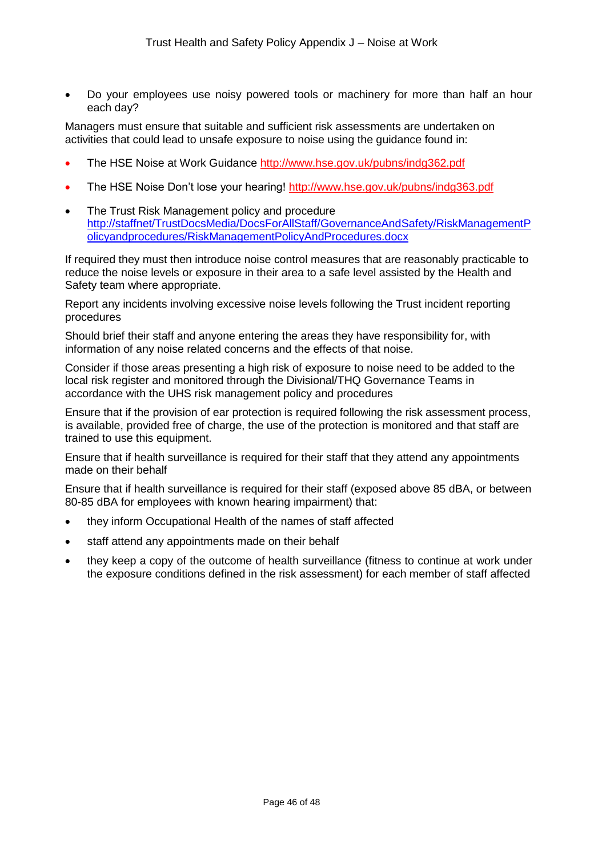Do your employees use noisy powered tools or machinery for more than half an hour each day?

Managers must ensure that suitable and sufficient risk assessments are undertaken on activities that could lead to unsafe exposure to noise using the guidance found in:

- The HSE Noise at Work Guidance <http://www.hse.gov.uk/pubns/indg362.pdf>
- The HSE Noise Don't lose your hearing! <http://www.hse.gov.uk/pubns/indg363.pdf>
- The Trust Risk Management policy and procedure [http://staffnet/TrustDocsMedia/DocsForAllStaff/GovernanceAndSafety/RiskManagementP](http://staffnet/TrustDocsMedia/DocsForAllStaff/GovernanceAndSafety/RiskManagementPolicyandprocedures/RiskManagementPolicyAndProcedures.docx) [olicyandprocedures/RiskManagementPolicyAndProcedures.docx](http://staffnet/TrustDocsMedia/DocsForAllStaff/GovernanceAndSafety/RiskManagementPolicyandprocedures/RiskManagementPolicyAndProcedures.docx)

If required they must then introduce noise control measures that are reasonably practicable to reduce the noise levels or exposure in their area to a safe level assisted by the Health and Safety team where appropriate.

Report any incidents involving excessive noise levels following the Trust incident reporting procedures

Should brief their staff and anyone entering the areas they have responsibility for, with information of any noise related concerns and the effects of that noise.

Consider if those areas presenting a high risk of exposure to noise need to be added to the local risk register and monitored through the Divisional/THQ Governance Teams in accordance with the UHS risk management policy and procedures

Ensure that if the provision of ear protection is required following the risk assessment process, is available, provided free of charge, the use of the protection is monitored and that staff are trained to use this equipment.

Ensure that if health surveillance is required for their staff that they attend any appointments made on their behalf

Ensure that if health surveillance is required for their staff (exposed above 85 dBA, or between 80-85 dBA for employees with known hearing impairment) that:

- they inform Occupational Health of the names of staff affected
- staff attend any appointments made on their behalf
- they keep a copy of the outcome of health surveillance (fitness to continue at work under the exposure conditions defined in the risk assessment) for each member of staff affected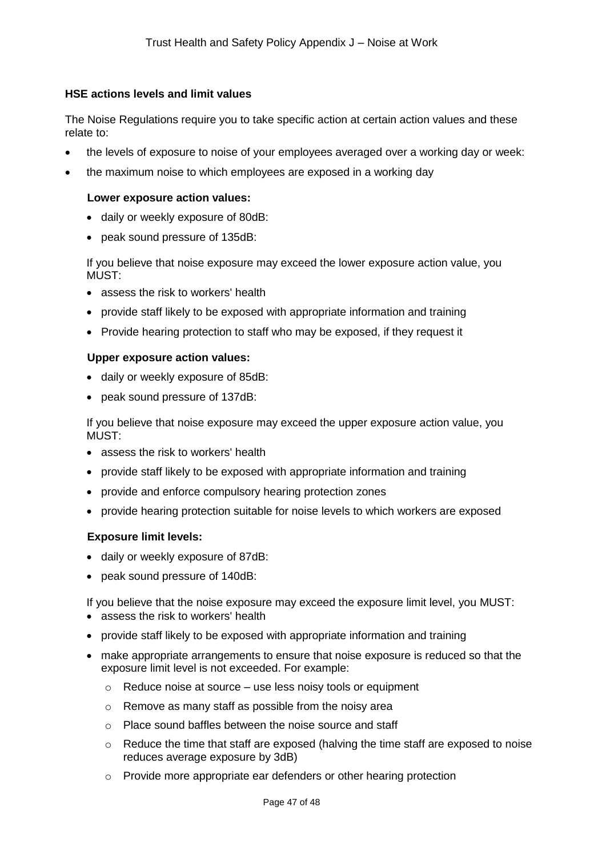#### **HSE actions levels and limit values**

The Noise Regulations require you to take specific action at certain action values and these relate to:

- the levels of exposure to noise of your employees averaged over a working day or week:
- the maximum noise to which employees are exposed in a working day

#### **Lower exposure action values:**

- daily or weekly exposure of 80dB:
- peak sound pressure of 135dB:

If you believe that noise exposure may exceed the lower exposure action value, you MUST<sup>.</sup>

- assess the risk to workers' health
- provide staff likely to be exposed with appropriate information and training
- Provide hearing protection to staff who may be exposed, if they request it

#### **Upper exposure action values:**

- daily or weekly exposure of 85dB:
- peak sound pressure of 137dB:

If you believe that noise exposure may exceed the upper exposure action value, you MUST:

- assess the risk to workers' health
- provide staff likely to be exposed with appropriate information and training
- provide and enforce compulsory hearing protection zones
- provide hearing protection suitable for noise levels to which workers are exposed

#### **Exposure limit levels:**

- daily or weekly exposure of 87dB:
- peak sound pressure of 140dB:

If you believe that the noise exposure may exceed the exposure limit level, you MUST:

- assess the risk to workers' health
- provide staff likely to be exposed with appropriate information and training
- make appropriate arrangements to ensure that noise exposure is reduced so that the exposure limit level is not exceeded. For example:
	- $\circ$  Reduce noise at source use less noisy tools or equipment
	- o Remove as many staff as possible from the noisy area
	- o Place sound baffles between the noise source and staff
	- $\circ$  Reduce the time that staff are exposed (halving the time staff are exposed to noise reduces average exposure by 3dB)
	- o Provide more appropriate ear defenders or other hearing protection